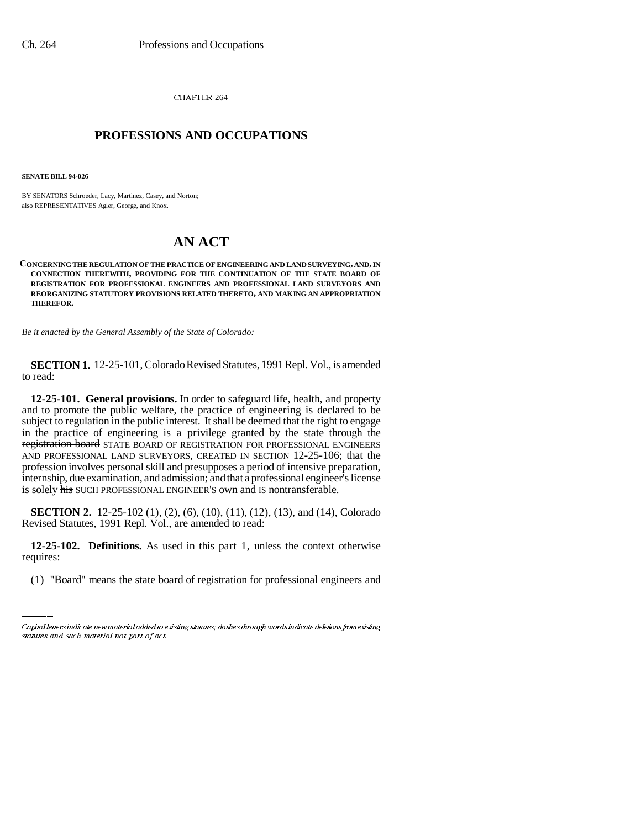CHAPTER 264

# \_\_\_\_\_\_\_\_\_\_\_\_\_\_\_ **PROFESSIONS AND OCCUPATIONS** \_\_\_\_\_\_\_\_\_\_\_\_\_\_\_

**SENATE BILL 94-026**

BY SENATORS Schroeder, Lacy, Martinez, Casey, and Norton; also REPRESENTATIVES Agler, George, and Knox.

# **AN ACT**

**CONCERNING THE REGULATION OF THE PRACTICE OF ENGINEERING AND LAND SURVEYING, AND, IN CONNECTION THEREWITH, PROVIDING FOR THE CONTINUATION OF THE STATE BOARD OF REGISTRATION FOR PROFESSIONAL ENGINEERS AND PROFESSIONAL LAND SURVEYORS AND REORGANIZING STATUTORY PROVISIONS RELATED THERETO, AND MAKING AN APPROPRIATION THEREFOR.**

*Be it enacted by the General Assembly of the State of Colorado:*

**SECTION 1.** 12-25-101, Colorado Revised Statutes, 1991 Repl. Vol., is amended to read:

**12-25-101. General provisions.** In order to safeguard life, health, and property and to promote the public welfare, the practice of engineering is declared to be subject to regulation in the public interest. It shall be deemed that the right to engage in the practice of engineering is a privilege granted by the state through the registration board STATE BOARD OF REGISTRATION FOR PROFESSIONAL ENGINEERS AND PROFESSIONAL LAND SURVEYORS, CREATED IN SECTION 12-25-106; that the profession involves personal skill and presupposes a period of intensive preparation, internship, due examination, and admission; and that a professional engineer's license is solely his SUCH PROFESSIONAL ENGINEER'S own and IS nontransferable.

**SECTION 2.** 12-25-102 (1), (2), (6), (10), (11), (12), (13), and (14), Colorado Revised Statutes, 1991 Repl. Vol., are amended to read:

 **12-25-102. Definitions.** As used in this part 1, unless the context otherwise requires:

(1) "Board" means the state board of registration for professional engineers and

Capital letters indicate new material added to existing statutes; dashes through words indicate deletions from existing statutes and such material not part of act.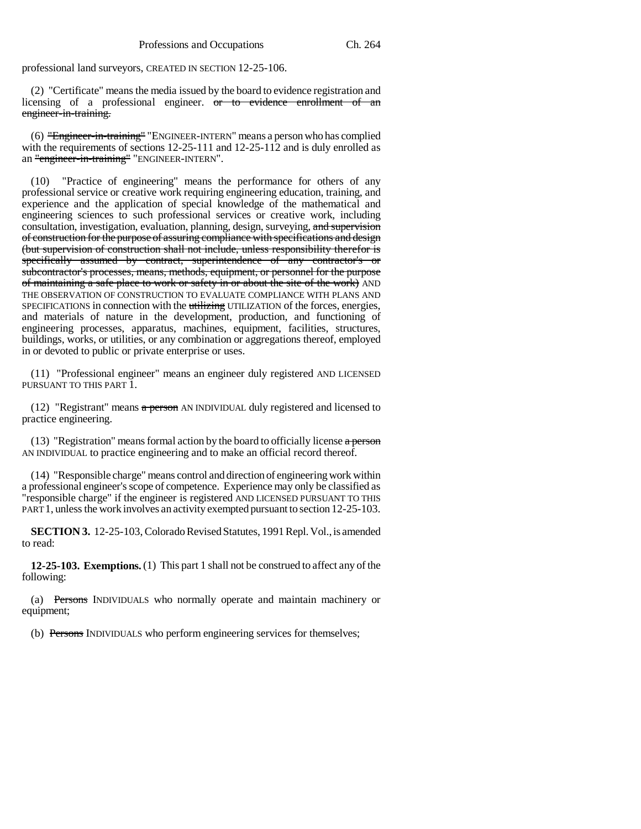professional land surveyors, CREATED IN SECTION 12-25-106.

(2) "Certificate" means the media issued by the board to evidence registration and licensing of a professional engineer. <del>or to evidence enrollment of an</del> engineer-in-training.

(6) "Engineer-in-training" "ENGINEER-INTERN" means a person who has complied with the requirements of sections 12-25-111 and 12-25-112 and is duly enrolled as an "engineer-in-training" "ENGINEER-INTERN".

(10) "Practice of engineering" means the performance for others of any professional service or creative work requiring engineering education, training, and experience and the application of special knowledge of the mathematical and engineering sciences to such professional services or creative work, including consultation, investigation, evaluation, planning, design, surveying, and supervision of construction for the purpose of assuring compliance with specifications and design (but supervision of construction shall not include, unless responsibility therefor is specifically assumed by contract, superintendence of any contractor's or subcontractor's processes, means, methods, equipment, or personnel for the purpose of maintaining  $\overline{a}$  safe place to work or safety in or about the site of the work) AND THE OBSERVATION OF CONSTRUCTION TO EVALUATE COMPLIANCE WITH PLANS AND SPECIFICATIONS in connection with the utilizing UTILIZATION of the forces, energies, and materials of nature in the development, production, and functioning of engineering processes, apparatus, machines, equipment, facilities, structures, buildings, works, or utilities, or any combination or aggregations thereof, employed in or devoted to public or private enterprise or uses.

(11) "Professional engineer" means an engineer duly registered AND LICENSED PURSUANT TO THIS PART 1.

(12) "Registrant" means  $\alpha$  person AN INDIVIDUAL duly registered and licensed to practice engineering.

 $(13)$  "Registration" means formal action by the board to officially license a person AN INDIVIDUAL to practice engineering and to make an official record thereof.

(14) "Responsible charge" means control and direction of engineering work within a professional engineer's scope of competence. Experience may only be classified as "responsible charge" if the engineer is registered AND LICENSED PURSUANT TO THIS PART 1, unless the work involves an activity exempted pursuant to section 12-25-103.

**SECTION 3.** 12-25-103, Colorado Revised Statutes, 1991 Repl. Vol., is amended to read:

**12-25-103. Exemptions.** (1) This part 1 shall not be construed to affect any of the following:

(a) Persons INDIVIDUALS who normally operate and maintain machinery or equipment;

(b) Persons INDIVIDUALS who perform engineering services for themselves;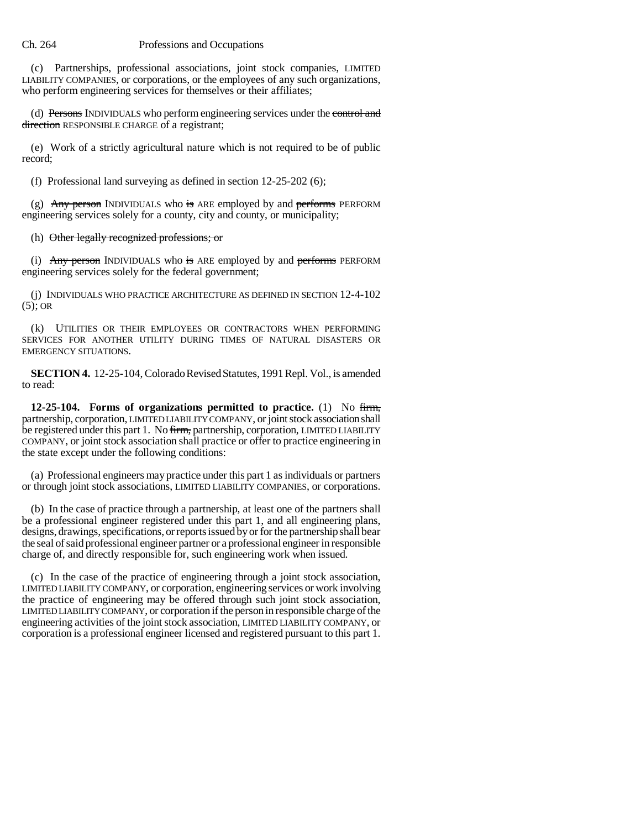(c) Partnerships, professional associations, joint stock companies, LIMITED LIABILITY COMPANIES, or corporations, or the employees of any such organizations, who perform engineering services for themselves or their affiliates;

(d) Persons INDIVIDUALS who perform engineering services under the control and direction RESPONSIBLE CHARGE of a registrant;

(e) Work of a strictly agricultural nature which is not required to be of public record;

(f) Professional land surveying as defined in section 12-25-202 (6);

(g)  $\overrightarrow{Any person}$  INDIVIDUALS who is ARE employed by and performs PERFORM engineering services solely for a county, city and county, or municipality;

## (h) Other legally recognized professions; or

(i) Any person INDIVIDUALS who is ARE employed by and performs PERFORM engineering services solely for the federal government;

(j) INDIVIDUALS WHO PRACTICE ARCHITECTURE AS DEFINED IN SECTION 12-4-102  $(5)$ ; OR

(k) UTILITIES OR THEIR EMPLOYEES OR CONTRACTORS WHEN PERFORMING SERVICES FOR ANOTHER UTILITY DURING TIMES OF NATURAL DISASTERS OR EMERGENCY SITUATIONS.

**SECTION 4.** 12-25-104, Colorado Revised Statutes, 1991 Repl. Vol., is amended to read:

**12-25-104. Forms of organizations permitted to practice.** (1) No firm, partnership, corporation, LIMITED LIABILITY COMPANY, or joint stock association shall be registered under this part 1. No firm, partnership, corporation, LIMITED LIABILITY COMPANY, or joint stock association shall practice or offer to practice engineering in the state except under the following conditions:

(a) Professional engineers may practice under this part 1 as individuals or partners or through joint stock associations, LIMITED LIABILITY COMPANIES, or corporations.

(b) In the case of practice through a partnership, at least one of the partners shall be a professional engineer registered under this part 1, and all engineering plans, designs, drawings, specifications, or reports issued by or for the partnership shall bear the seal of said professional engineer partner or a professional engineer in responsible charge of, and directly responsible for, such engineering work when issued.

(c) In the case of the practice of engineering through a joint stock association, LIMITED LIABILITY COMPANY, or corporation, engineering services or work involving the practice of engineering may be offered through such joint stock association, LIMITED LIABILITY COMPANY, or corporation if the person in responsible charge of the engineering activities of the joint stock association, LIMITED LIABILITY COMPANY, or corporation is a professional engineer licensed and registered pursuant to this part 1.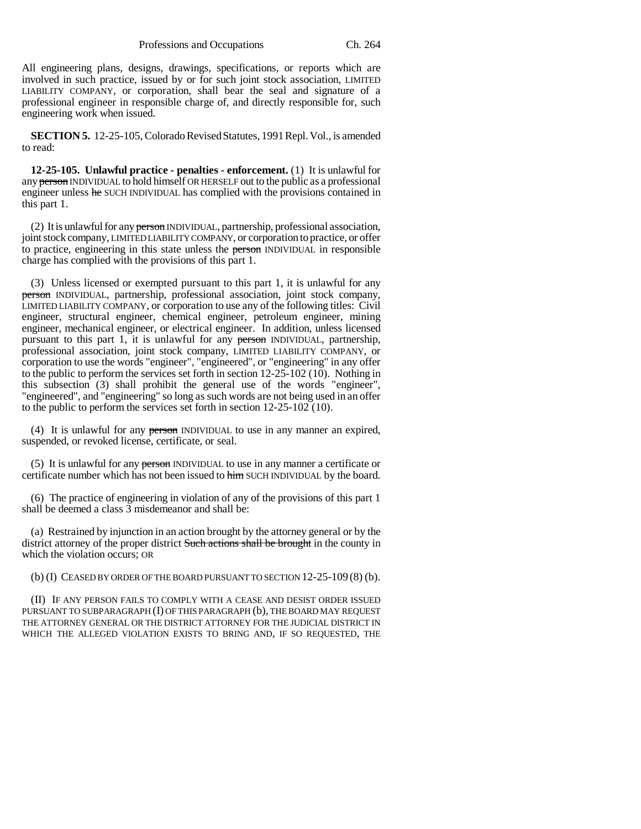All engineering plans, designs, drawings, specifications, or reports which are involved in such practice, issued by or for such joint stock association, LIMITED LIABILITY COMPANY, or corporation, shall bear the seal and signature of a professional engineer in responsible charge of, and directly responsible for, such engineering work when issued.

**SECTION 5.** 12-25-105, Colorado Revised Statutes, 1991 Repl. Vol., is amended to read:

**12-25-105. Unlawful practice - penalties - enforcement.** (1) It is unlawful for any person INDIVIDUAL to hold himself OR HERSELF out to the public as a professional engineer unless he SUCH INDIVIDUAL has complied with the provisions contained in this part 1.

(2) It is unlawful for any person INDIVIDUAL, partnership, professional association, joint stock company, LIMITED LIABILITY COMPANY, or corporation to practice, or offer to practice, engineering in this state unless the person INDIVIDUAL in responsible charge has complied with the provisions of this part 1.

(3) Unless licensed or exempted pursuant to this part 1, it is unlawful for any person INDIVIDUAL, partnership, professional association, joint stock company, LIMITED LIABILITY COMPANY, or corporation to use any of the following titles: Civil engineer, structural engineer, chemical engineer, petroleum engineer, mining engineer, mechanical engineer, or electrical engineer. In addition, unless licensed pursuant to this part 1, it is unlawful for any person INDIVIDUAL, partnership, professional association, joint stock company, LIMITED LIABILITY COMPANY, or corporation to use the words "engineer", "engineered", or "engineering" in any offer to the public to perform the services set forth in section 12-25-102 (10). Nothing in this subsection (3) shall prohibit the general use of the words "engineer", "engineered", and "engineering" so long as such words are not being used in an offer to the public to perform the services set forth in section 12-25-102 (10).

(4) It is unlawful for any person INDIVIDUAL to use in any manner an expired, suspended, or revoked license, certificate, or seal.

(5) It is unlawful for any person INDIVIDUAL to use in any manner a certificate or certificate number which has not been issued to him SUCH INDIVIDUAL by the board.

(6) The practice of engineering in violation of any of the provisions of this part 1 shall be deemed a class 3 misdemeanor and shall be:

(a) Restrained by injunction in an action brought by the attorney general or by the district attorney of the proper district Such actions shall be brought in the county in which the violation occurs; OR

(b)  $(I)$  CEASED BY ORDER OF THE BOARD PURSUANT TO SECTION  $12-25-109(8)$  (b).

(II) IF ANY PERSON FAILS TO COMPLY WITH A CEASE AND DESIST ORDER ISSUED PURSUANT TO SUBPARAGRAPH (I) OF THIS PARAGRAPH (b), THE BOARD MAY REQUEST THE ATTORNEY GENERAL OR THE DISTRICT ATTORNEY FOR THE JUDICIAL DISTRICT IN WHICH THE ALLEGED VIOLATION EXISTS TO BRING AND, IF SO REQUESTED, THE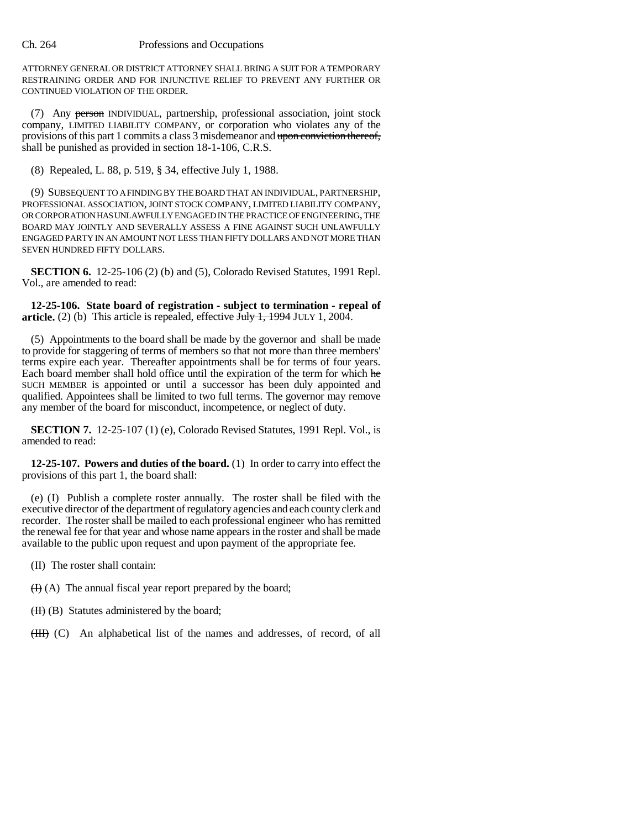ATTORNEY GENERAL OR DISTRICT ATTORNEY SHALL BRING A SUIT FOR A TEMPORARY RESTRAINING ORDER AND FOR INJUNCTIVE RELIEF TO PREVENT ANY FURTHER OR CONTINUED VIOLATION OF THE ORDER.

(7) Any person INDIVIDUAL, partnership, professional association, joint stock company, LIMITED LIABILITY COMPANY, or corporation who violates any of the provisions of this part 1 commits a class 3 misdemeanor and upon conviction thereof, shall be punished as provided in section 18-1-106, C.R.S.

(8) Repealed, L. 88, p. 519, § 34, effective July 1, 1988.

(9) SUBSEQUENT TO A FINDING BY THE BOARD THAT AN INDIVIDUAL, PARTNERSHIP, PROFESSIONAL ASSOCIATION, JOINT STOCK COMPANY, LIMITED LIABILITY COMPANY, OR CORPORATION HAS UNLAWFULLY ENGAGED IN THE PRACTICE OF ENGINEERING, THE BOARD MAY JOINTLY AND SEVERALLY ASSESS A FINE AGAINST SUCH UNLAWFULLY ENGAGED PARTY IN AN AMOUNT NOT LESS THAN FIFTY DOLLARS AND NOT MORE THAN SEVEN HUNDRED FIFTY DOLLARS.

**SECTION 6.** 12-25-106 (2) (b) and (5), Colorado Revised Statutes, 1991 Repl. Vol., are amended to read:

**12-25-106. State board of registration - subject to termination - repeal of article.** (2) (b) This article is repealed, effective  $\overline{J_{\text{uly}}}$  1, 1994 JULY 1, 2004.

(5) Appointments to the board shall be made by the governor and shall be made to provide for staggering of terms of members so that not more than three members' terms expire each year. Thereafter appointments shall be for terms of four years. Each board member shall hold office until the expiration of the term for which he SUCH MEMBER is appointed or until a successor has been duly appointed and qualified. Appointees shall be limited to two full terms. The governor may remove any member of the board for misconduct, incompetence, or neglect of duty.

**SECTION 7.** 12-25-107 (1) (e), Colorado Revised Statutes, 1991 Repl. Vol., is amended to read:

**12-25-107. Powers and duties of the board.** (1) In order to carry into effect the provisions of this part 1, the board shall:

(e) (I) Publish a complete roster annually. The roster shall be filed with the executive director of the department of regulatory agencies and each county clerk and recorder. The roster shall be mailed to each professional engineer who has remitted the renewal fee for that year and whose name appears in the roster and shall be made available to the public upon request and upon payment of the appropriate fee.

(II) The roster shall contain:

 $(H)$  (A) The annual fiscal year report prepared by the board;

 $(H)$  (B) Statutes administered by the board;

(III) (C) An alphabetical list of the names and addresses, of record, of all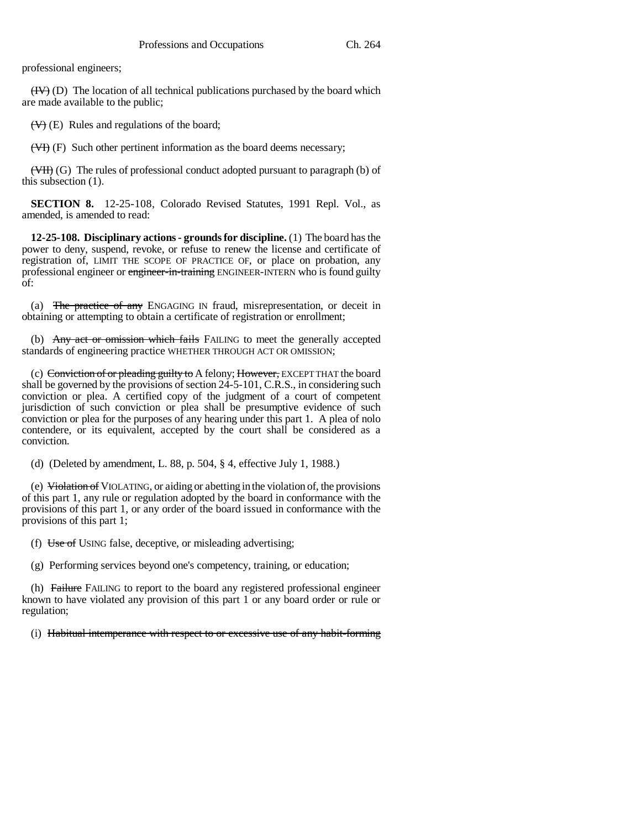professional engineers;

 $(HV)$  (D) The location of all technical publications purchased by the board which are made available to the public;

 $(\forall)$  (E) Rules and regulations of the board;

(VI) (F) Such other pertinent information as the board deems necessary;

(VII) (G) The rules of professional conduct adopted pursuant to paragraph (b) of this subsection (1).

**SECTION 8.** 12-25-108, Colorado Revised Statutes, 1991 Repl. Vol., as amended, is amended to read:

**12-25-108. Disciplinary actions - grounds for discipline.** (1) The board has the power to deny, suspend, revoke, or refuse to renew the license and certificate of registration of, LIMIT THE SCOPE OF PRACTICE OF, or place on probation, any professional engineer or engineer-in-training ENGINEER-INTERN who is found guilty of:

(a) The practice of any ENGAGING IN fraud, misrepresentation, or deceit in obtaining or attempting to obtain a certificate of registration or enrollment;

(b) Any act or omission which fails FAILING to meet the generally accepted standards of engineering practice WHETHER THROUGH ACT OR OMISSION;

(c) Conviction of or pleading guilty to A felony; However, EXCEPT THAT the board shall be governed by the provisions of section 24-5-101, C.R.S., in considering such conviction or plea. A certified copy of the judgment of a court of competent jurisdiction of such conviction or plea shall be presumptive evidence of such conviction or plea for the purposes of any hearing under this part 1. A plea of nolo contendere, or its equivalent, accepted by the court shall be considered as a conviction.

(d) (Deleted by amendment, L. 88, p. 504, § 4, effective July 1, 1988.)

(e)  $\overline{\text{Vidation of }V}$  VIOLATING, or aiding or abetting in the violation of, the provisions of this part 1, any rule or regulation adopted by the board in conformance with the provisions of this part 1, or any order of the board issued in conformance with the provisions of this part 1;

(f)  $\overline{Use\ of\ U\ SING\ false}$ , deceptive, or misleading advertising;

(g) Performing services beyond one's competency, training, or education;

(h) Failure FAILING to report to the board any registered professional engineer known to have violated any provision of this part 1 or any board order or rule or regulation;

(i) Habitual intemperance with respect to or excessive use of any habit-forming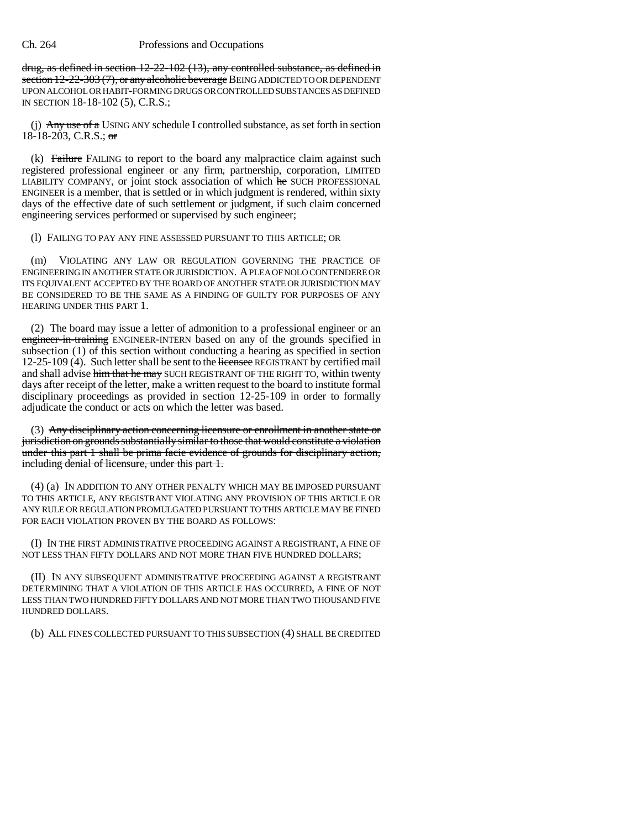drug, as defined in section 12-22-102 (13), any controlled substance, as defined in section 12-22-303 (7), or any alcoholic beverage BEING ADDICTED TO OR DEPENDENT UPON ALCOHOL OR HABIT-FORMING DRUGS OR CONTROLLED SUBSTANCES AS DEFINED IN SECTION 18-18-102 (5), C.R.S.;

(j) Any use of a USING ANY schedule I controlled substance, as set forth in section 18-18-203, C.R.S.;  $\sigma$ 

 $(k)$  Failure FAILING to report to the board any malpractice claim against such registered professional engineer or any firm, partnership, corporation, LIMITED LIABILITY COMPANY, or joint stock association of which he SUCH PROFESSIONAL ENGINEER is a member, that is settled or in which judgment is rendered, within sixty days of the effective date of such settlement or judgment, if such claim concerned engineering services performed or supervised by such engineer;

## (l) FAILING TO PAY ANY FINE ASSESSED PURSUANT TO THIS ARTICLE; OR

(m) VIOLATING ANY LAW OR REGULATION GOVERNING THE PRACTICE OF ENGINEERING IN ANOTHER STATE OR JURISDICTION. A PLEA OF NOLO CONTENDERE OR ITS EQUIVALENT ACCEPTED BY THE BOARD OF ANOTHER STATE OR JURISDICTION MAY BE CONSIDERED TO BE THE SAME AS A FINDING OF GUILTY FOR PURPOSES OF ANY HEARING UNDER THIS PART 1.

(2) The board may issue a letter of admonition to a professional engineer or an engineer-in-training ENGINEER-INTERN based on any of the grounds specified in subsection (1) of this section without conducting a hearing as specified in section 12-25-109 (4). Such letter shall be sent to the licensee REGISTRANT by certified mail and shall advise him that he may SUCH REGISTRANT OF THE RIGHT TO, within twenty days after receipt of the letter, make a written request to the board to institute formal disciplinary proceedings as provided in section 12-25-109 in order to formally adjudicate the conduct or acts on which the letter was based.

(3) Any disciplinary action concerning licensure or enrollment in another state or jurisdiction on grounds substantially similar to those that would constitute a violation under this part 1 shall be prima facie evidence of grounds for disciplinary action, including denial of licensure, under this part 1.

(4) (a) IN ADDITION TO ANY OTHER PENALTY WHICH MAY BE IMPOSED PURSUANT TO THIS ARTICLE, ANY REGISTRANT VIOLATING ANY PROVISION OF THIS ARTICLE OR ANY RULE OR REGULATION PROMULGATED PURSUANT TO THIS ARTICLE MAY BE FINED FOR EACH VIOLATION PROVEN BY THE BOARD AS FOLLOWS:

(I) IN THE FIRST ADMINISTRATIVE PROCEEDING AGAINST A REGISTRANT, A FINE OF NOT LESS THAN FIFTY DOLLARS AND NOT MORE THAN FIVE HUNDRED DOLLARS;

(II) IN ANY SUBSEQUENT ADMINISTRATIVE PROCEEDING AGAINST A REGISTRANT DETERMINING THAT A VIOLATION OF THIS ARTICLE HAS OCCURRED, A FINE OF NOT LESS THAN TWO HUNDRED FIFTY DOLLARS AND NOT MORE THAN TWO THOUSAND FIVE HUNDRED DOLLARS.

(b) ALL FINES COLLECTED PURSUANT TO THIS SUBSECTION (4) SHALL BE CREDITED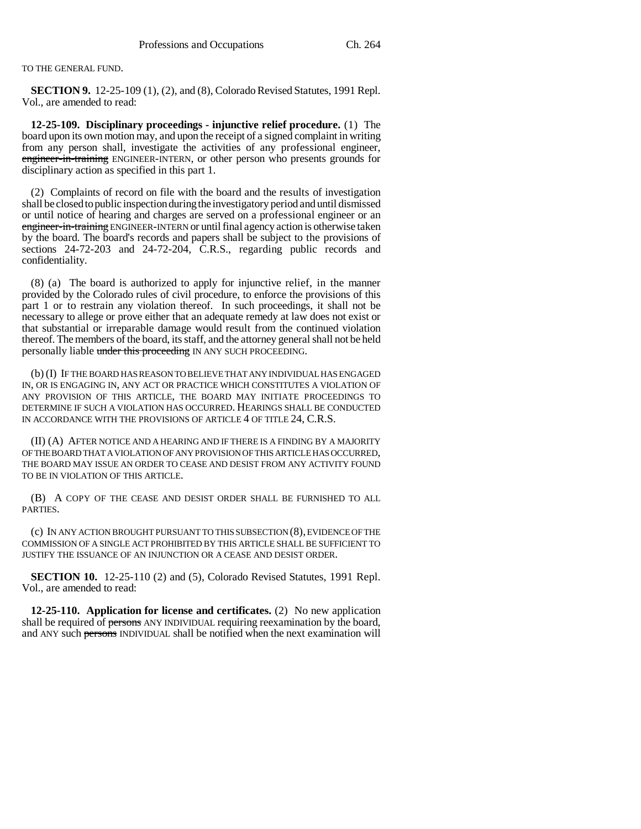TO THE GENERAL FUND.

**SECTION 9.** 12-25-109 (1), (2), and (8), Colorado Revised Statutes, 1991 Repl. Vol., are amended to read:

**12-25-109. Disciplinary proceedings - injunctive relief procedure.** (1) The board upon its own motion may, and upon the receipt of a signed complaint in writing from any person shall, investigate the activities of any professional engineer, engineer-in-training ENGINEER-INTERN, or other person who presents grounds for disciplinary action as specified in this part 1.

(2) Complaints of record on file with the board and the results of investigation shall be closed to public inspection during the investigatory period and until dismissed or until notice of hearing and charges are served on a professional engineer or an engineer-in-training ENGINEER-INTERN or until final agency action is otherwise taken by the board. The board's records and papers shall be subject to the provisions of sections 24-72-203 and 24-72-204, C.R.S., regarding public records and confidentiality.

(8) (a) The board is authorized to apply for injunctive relief, in the manner provided by the Colorado rules of civil procedure, to enforce the provisions of this part 1 or to restrain any violation thereof. In such proceedings, it shall not be necessary to allege or prove either that an adequate remedy at law does not exist or that substantial or irreparable damage would result from the continued violation thereof. The members of the board, its staff, and the attorney general shall not be held personally liable under this proceeding IN ANY SUCH PROCEEDING.

(b) (I) IF THE BOARD HAS REASON TO BELIEVE THAT ANY INDIVIDUAL HAS ENGAGED IN, OR IS ENGAGING IN, ANY ACT OR PRACTICE WHICH CONSTITUTES A VIOLATION OF ANY PROVISION OF THIS ARTICLE, THE BOARD MAY INITIATE PROCEEDINGS TO DETERMINE IF SUCH A VIOLATION HAS OCCURRED. HEARINGS SHALL BE CONDUCTED IN ACCORDANCE WITH THE PROVISIONS OF ARTICLE 4 OF TITLE 24, C.R.S.

(II) (A) AFTER NOTICE AND A HEARING AND IF THERE IS A FINDING BY A MAJORITY OF THE BOARD THAT A VIOLATION OF ANY PROVISION OF THIS ARTICLE HAS OCCURRED, THE BOARD MAY ISSUE AN ORDER TO CEASE AND DESIST FROM ANY ACTIVITY FOUND TO BE IN VIOLATION OF THIS ARTICLE.

(B) A COPY OF THE CEASE AND DESIST ORDER SHALL BE FURNISHED TO ALL PARTIES.

(c) IN ANY ACTION BROUGHT PURSUANT TO THIS SUBSECTION (8), EVIDENCE OF THE COMMISSION OF A SINGLE ACT PROHIBITED BY THIS ARTICLE SHALL BE SUFFICIENT TO JUSTIFY THE ISSUANCE OF AN INJUNCTION OR A CEASE AND DESIST ORDER.

**SECTION 10.** 12-25-110 (2) and (5), Colorado Revised Statutes, 1991 Repl. Vol., are amended to read:

**12-25-110. Application for license and certificates.** (2) No new application shall be required of persons ANY INDIVIDUAL requiring reexamination by the board, and ANY such persons INDIVIDUAL shall be notified when the next examination will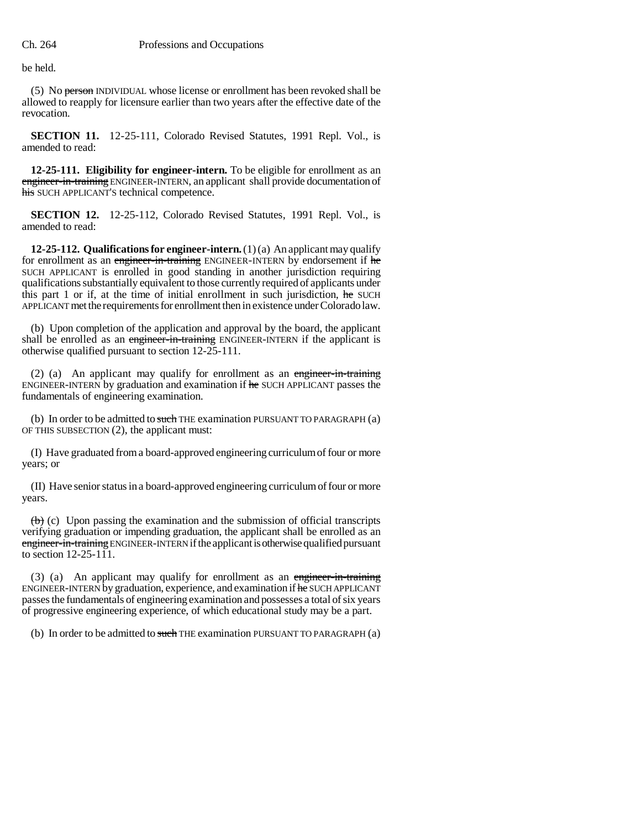be held.

(5) No person INDIVIDUAL whose license or enrollment has been revoked shall be allowed to reapply for licensure earlier than two years after the effective date of the revocation.

**SECTION 11.** 12-25-111, Colorado Revised Statutes, 1991 Repl. Vol., is amended to read:

**12-25-111. Eligibility for engineer-intern.** To be eligible for enrollment as an engineer-in-training ENGINEER-INTERN, an applicant shall provide documentation of his SUCH APPLICANT'S technical competence.

**SECTION 12.** 12-25-112, Colorado Revised Statutes, 1991 Repl. Vol., is amended to read:

**12-25-112. Qualifications for engineer-intern.** (1) (a) An applicant may qualify for enrollment as an engineer-in-training ENGINEER-INTERN by endorsement if he SUCH APPLICANT is enrolled in good standing in another jurisdiction requiring qualifications substantially equivalent to those currently required of applicants under this part 1 or if, at the time of initial enrollment in such jurisdiction, he SUCH APPLICANT met the requirements for enrollment then in existence under Colorado law.

(b) Upon completion of the application and approval by the board, the applicant shall be enrolled as an engineer-in-training ENGINEER-INTERN if the applicant is otherwise qualified pursuant to section 12-25-111.

(2) (a) An applicant may qualify for enrollment as an engineer-in-training ENGINEER-INTERN by graduation and examination if he SUCH APPLICANT passes the fundamentals of engineering examination.

(b) In order to be admitted to such THE examination PURSUANT TO PARAGRAPH  $(a)$ OF THIS SUBSECTION (2), the applicant must:

(I) Have graduated from a board-approved engineering curriculum of four or more years; or

(II) Have senior status in a board-approved engineering curriculum of four or more years.

 $\leftrightarrow$  (c) Upon passing the examination and the submission of official transcripts verifying graduation or impending graduation, the applicant shall be enrolled as an engineer-in-training ENGINEER-INTERN if the applicant is otherwise qualified pursuant to section 12-25-111.

(3) (a) An applicant may qualify for enrollment as an engineer-in-training ENGINEER-INTERN by graduation, experience, and examination if he SUCH APPLICANT passes the fundamentals of engineering examination and possesses a total of six years of progressive engineering experience, of which educational study may be a part.

(b) In order to be admitted to such THE examination PURSUANT TO PARAGRAPH (a)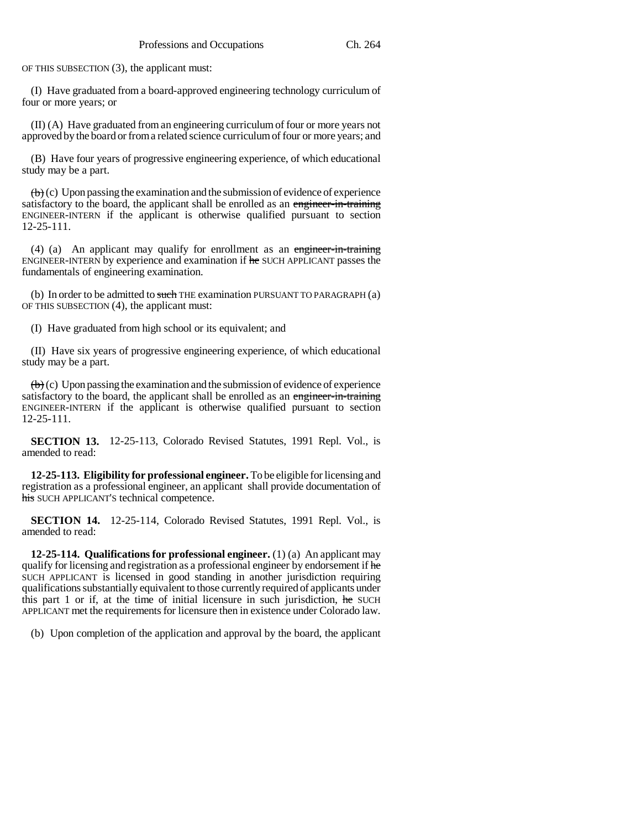OF THIS SUBSECTION (3), the applicant must:

(I) Have graduated from a board-approved engineering technology curriculum of four or more years; or

(II) (A) Have graduated from an engineering curriculum of four or more years not approved by the board or from a related science curriculum of four or more years; and

(B) Have four years of progressive engineering experience, of which educational study may be a part.

 $\langle \theta \rangle$  (c) Upon passing the examination and the submission of evidence of experience satisfactory to the board, the applicant shall be enrolled as an engineer-in-training ENGINEER-INTERN if the applicant is otherwise qualified pursuant to section 12-25-111.

(4) (a) An applicant may qualify for enrollment as an engineer-in-training ENGINEER-INTERN by experience and examination if he SUCH APPLICANT passes the fundamentals of engineering examination.

(b) In order to be admitted to such THE examination PURSUANT TO PARAGRAPH (a) OF THIS SUBSECTION (4), the applicant must:

(I) Have graduated from high school or its equivalent; and

(II) Have six years of progressive engineering experience, of which educational study may be a part.

 $\left(\mathbf{b}\right)$  (c) Upon passing the examination and the submission of evidence of experience satisfactory to the board, the applicant shall be enrolled as an engineer-in-training ENGINEER-INTERN if the applicant is otherwise qualified pursuant to section 12-25-111.

**SECTION 13.** 12-25-113, Colorado Revised Statutes, 1991 Repl. Vol., is amended to read:

**12-25-113. Eligibility for professional engineer.** To be eligible for licensing and registration as a professional engineer, an applicant shall provide documentation of his SUCH APPLICANT'S technical competence.

**SECTION 14.** 12-25-114, Colorado Revised Statutes, 1991 Repl. Vol., is amended to read:

**12-25-114. Qualifications for professional engineer.** (1) (a) An applicant may qualify for licensing and registration as a professional engineer by endorsement if he SUCH APPLICANT is licensed in good standing in another jurisdiction requiring qualifications substantially equivalent to those currently required of applicants under this part 1 or if, at the time of initial licensure in such jurisdiction, he SUCH APPLICANT met the requirements for licensure then in existence under Colorado law.

(b) Upon completion of the application and approval by the board, the applicant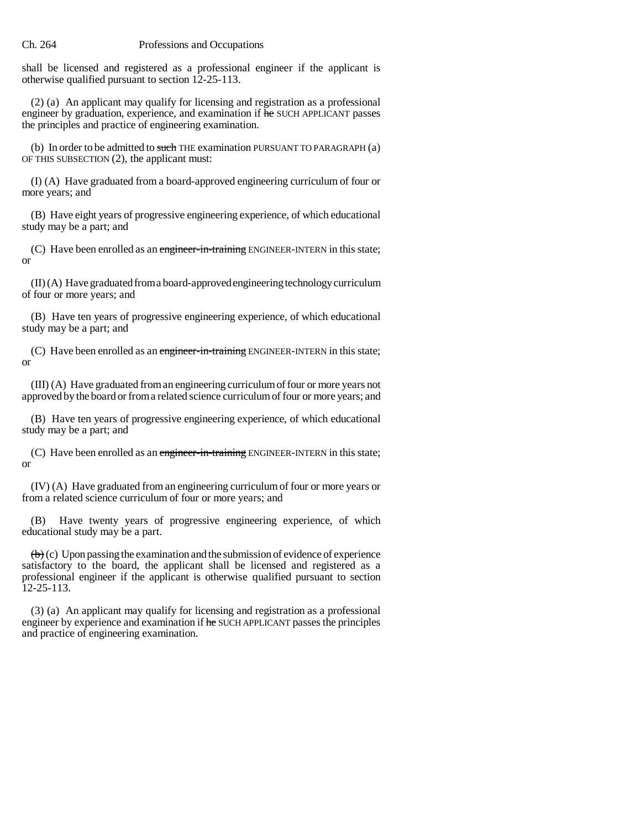shall be licensed and registered as a professional engineer if the applicant is otherwise qualified pursuant to section 12-25-113.

(2) (a) An applicant may qualify for licensing and registration as a professional engineer by graduation, experience, and examination if he SUCH APPLICANT passes the principles and practice of engineering examination.

(b) In order to be admitted to such THE examination PURSUANT TO PARAGRAPH  $(a)$ OF THIS SUBSECTION (2), the applicant must:

(I) (A) Have graduated from a board-approved engineering curriculum of four or more years; and

(B) Have eight years of progressive engineering experience, of which educational study may be a part; and

(C) Have been enrolled as an engineer-in-training ENGINEER-INTERN in this state; or

(II) (A) Have graduated from a board-approved engineering technology curriculum of four or more years; and

(B) Have ten years of progressive engineering experience, of which educational study may be a part; and

(C) Have been enrolled as an engineer-in-training ENGINEER-INTERN in this state; or

(III) (A) Have graduated from an engineering curriculum of four or more years not approved by the board or from a related science curriculum of four or more years; and

(B) Have ten years of progressive engineering experience, of which educational study may be a part; and

(C) Have been enrolled as an engineer-in-training ENGINEER-INTERN in this state; or

(IV) (A) Have graduated from an engineering curriculum of four or more years or from a related science curriculum of four or more years; and

(B) Have twenty years of progressive engineering experience, of which educational study may be a part.

 $\left(\mathbf{b}\right)$  (c) Upon passing the examination and the submission of evidence of experience satisfactory to the board, the applicant shall be licensed and registered as a professional engineer if the applicant is otherwise qualified pursuant to section 12-25-113.

(3) (a) An applicant may qualify for licensing and registration as a professional engineer by experience and examination if he SUCH APPLICANT passes the principles and practice of engineering examination.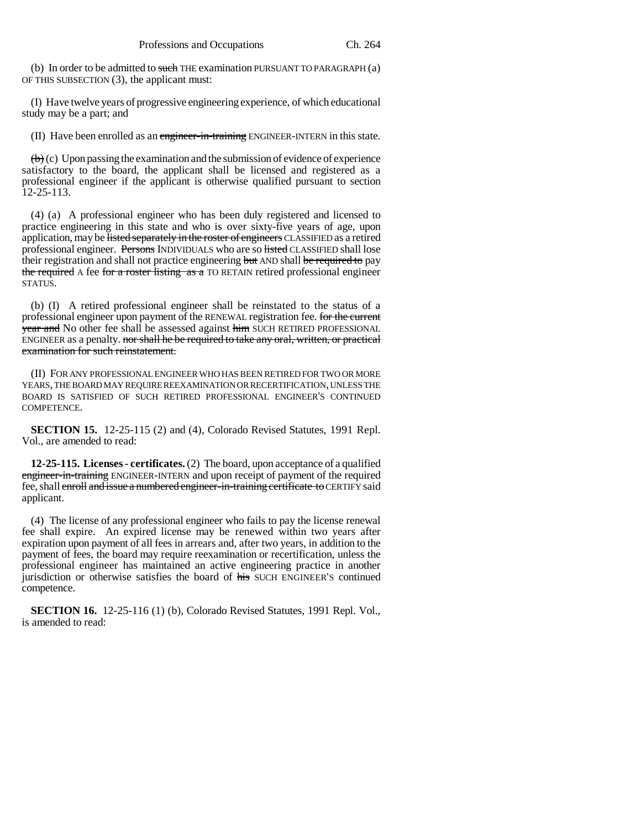(b) In order to be admitted to such THE examination PURSUANT TO PARAGRAPH (a) OF THIS SUBSECTION (3), the applicant must:

(I) Have twelve years of progressive engineering experience, of which educational study may be a part; and

(II) Have been enrolled as an engineer-in-training ENGINEER-INTERN in this state.

 $\left(\mathbf{b}\right)$  (c) Upon passing the examination and the submission of evidence of experience satisfactory to the board, the applicant shall be licensed and registered as a professional engineer if the applicant is otherwise qualified pursuant to section 12-25-113.

(4) (a) A professional engineer who has been duly registered and licensed to practice engineering in this state and who is over sixty-five years of age, upon application, may be listed separately in the roster of engineers CLASSIFIED as a retired professional engineer. Persons INDIVIDUALS who are so listed CLASSIFIED shall lose their registration and shall not practice engineering but AND shall be required to pay the required A fee for a roster listing as a TO RETAIN retired professional engineer STATUS.

(b) (I) A retired professional engineer shall be reinstated to the status of a professional engineer upon payment of the RENEWAL registration fee. for the current year and No other fee shall be assessed against him SUCH RETIRED PROFESSIONAL ENGINEER as a penalty. nor shall he be required to take any oral, written, or practical examination for such reinstatement.

(II) FOR ANY PROFESSIONAL ENGINEER WHO HAS BEEN RETIRED FOR TWO OR MORE YEARS, THE BOARD MAY REQUIRE REEXAMINATION OR RECERTIFICATION, UNLESS THE BOARD IS SATISFIED OF SUCH RETIRED PROFESSIONAL ENGINEER'S CONTINUED COMPETENCE.

**SECTION 15.** 12-25-115 (2) and (4), Colorado Revised Statutes, 1991 Repl. Vol., are amended to read:

**12-25-115. Licenses - certificates.** (2) The board, upon acceptance of a qualified engineer-in-training ENGINEER-INTERN and upon receipt of payment of the required fee, shall enroll and issue a numbered engineer-in-training certificate to CERTIFY said applicant.

(4) The license of any professional engineer who fails to pay the license renewal fee shall expire. An expired license may be renewed within two years after expiration upon payment of all fees in arrears and, after two years, in addition to the payment of fees, the board may require reexamination or recertification, unless the professional engineer has maintained an active engineering practice in another jurisdiction or otherwise satisfies the board of his SUCH ENGINEER'S continued competence.

**SECTION 16.** 12-25-116 (1) (b), Colorado Revised Statutes, 1991 Repl. Vol., is amended to read: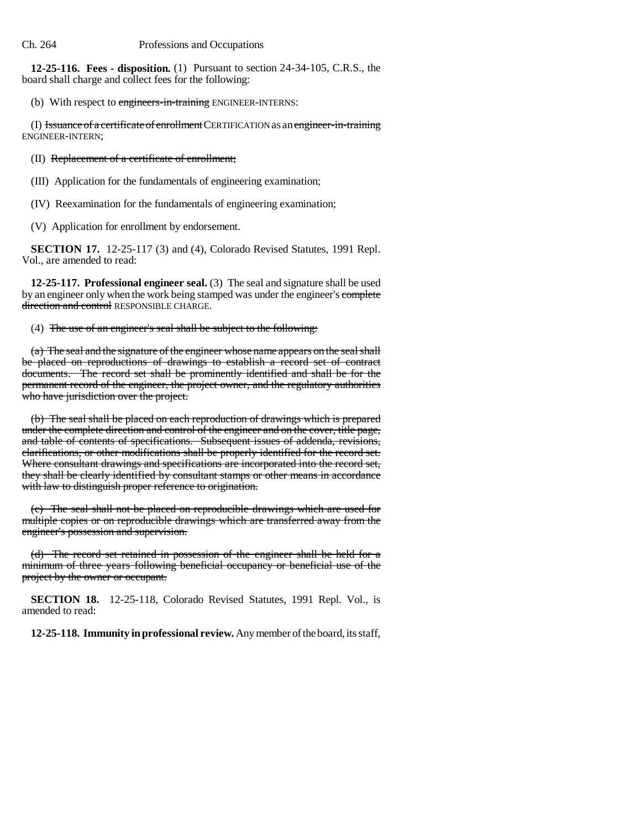**12-25-116. Fees - disposition.** (1) Pursuant to section 24-34-105, C.R.S., the board shall charge and collect fees for the following:

(b) With respect to engineers-in-training ENGINEER-INTERNS:

(I) Issuance of a certificate of enrollment CERTIFICATION as an engineer-in-training ENGINEER-INTERN;

(II) Replacement of a certificate of enrollment;

(III) Application for the fundamentals of engineering examination;

(IV) Reexamination for the fundamentals of engineering examination;

(V) Application for enrollment by endorsement.

**SECTION 17.** 12-25-117 (3) and (4), Colorado Revised Statutes, 1991 Repl. Vol., are amended to read:

**12-25-117. Professional engineer seal.** (3) The seal and signature shall be used by an engineer only when the work being stamped was under the engineer's complete direction and control RESPONSIBLE CHARGE.

(4) The use of an engineer's seal shall be subject to the following:

(a) The seal and the signature of the engineer whose name appears on the seal shall be placed on reproductions of drawings to establish a record set of contract documents. The record set shall be prominently identified and shall be for the permanent record of the engineer, the project owner, and the regulatory authorities who have jurisdiction over the project.

(b) The seal shall be placed on each reproduction of drawings which is prepared under the complete direction and control of the engineer and on the cover, title page, and table of contents of specifications. Subsequent issues of addenda, revisions, clarifications, or other modifications shall be properly identified for the record set. Where consultant drawings and specifications are incorporated into the record set, they shall be clearly identified by consultant stamps or other means in accordance with law to distinguish proper reference to origination.

(c) The seal shall not be placed on reproducible drawings which are used for multiple copies or on reproducible drawings which are transferred away from the engineer's possession and supervision.

(d) The record set retained in possession of the engineer shall be held for a minimum of three years following beneficial occupancy or beneficial use of the project by the owner or occupant.

**SECTION 18.** 12-25-118, Colorado Revised Statutes, 1991 Repl. Vol., is amended to read:

**12-25-118. Immunity in professional review.** Any member of the board, its staff,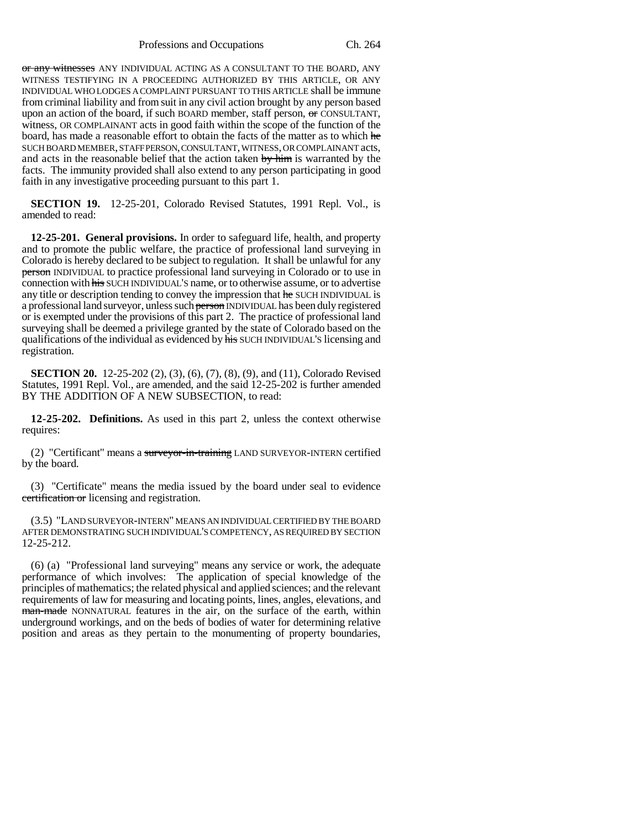Professions and Occupations Ch. 264

or any witnesses ANY INDIVIDUAL ACTING AS A CONSULTANT TO THE BOARD, ANY WITNESS TESTIFYING IN A PROCEEDING AUTHORIZED BY THIS ARTICLE, OR ANY INDIVIDUAL WHO LODGES A COMPLAINT PURSUANT TO THIS ARTICLE shall be immune from criminal liability and from suit in any civil action brought by any person based upon an action of the board, if such BOARD member, staff person,  $\sigma$  CONSULTANT, witness, OR COMPLAINANT acts in good faith within the scope of the function of the board, has made a reasonable effort to obtain the facts of the matter as to which he SUCH BOARD MEMBER, STAFF PERSON, CONSULTANT, WITNESS, OR COMPLAINANT acts, and acts in the reasonable belief that the action taken by him is warranted by the facts. The immunity provided shall also extend to any person participating in good faith in any investigative proceeding pursuant to this part 1.

**SECTION 19.** 12-25-201, Colorado Revised Statutes, 1991 Repl. Vol., is amended to read:

**12-25-201. General provisions.** In order to safeguard life, health, and property and to promote the public welfare, the practice of professional land surveying in Colorado is hereby declared to be subject to regulation. It shall be unlawful for any person INDIVIDUAL to practice professional land surveying in Colorado or to use in connection with his SUCH INDIVIDUAL'S name, or to otherwise assume, or to advertise any title or description tending to convey the impression that he SUCH INDIVIDUAL is a professional land surveyor, unless such person INDIVIDUAL has been duly registered or is exempted under the provisions of this part 2. The practice of professional land surveying shall be deemed a privilege granted by the state of Colorado based on the qualifications of the individual as evidenced by his SUCH INDIVIDUAL'S licensing and registration.

**SECTION 20.** 12-25-202 (2), (3), (6), (7), (8), (9), and (11), Colorado Revised Statutes, 1991 Repl. Vol., are amended, and the said 12-25-202 is further amended BY THE ADDITION OF A NEW SUBSECTION, to read:

**12-25-202. Definitions.** As used in this part 2, unless the context otherwise requires:

(2) "Certificant" means a surveyor-in-training LAND SURVEYOR-INTERN certified by the board.

(3) "Certificate" means the media issued by the board under seal to evidence certification or licensing and registration.

(3.5) "LAND SURVEYOR-INTERN" MEANS AN INDIVIDUAL CERTIFIED BY THE BOARD AFTER DEMONSTRATING SUCH INDIVIDUAL'S COMPETENCY, AS REQUIRED BY SECTION 12-25-212.

(6) (a) "Professional land surveying" means any service or work, the adequate performance of which involves: The application of special knowledge of the principles of mathematics; the related physical and applied sciences; and the relevant requirements of law for measuring and locating points, lines, angles, elevations, and man-made NONNATURAL features in the air, on the surface of the earth, within underground workings, and on the beds of bodies of water for determining relative position and areas as they pertain to the monumenting of property boundaries,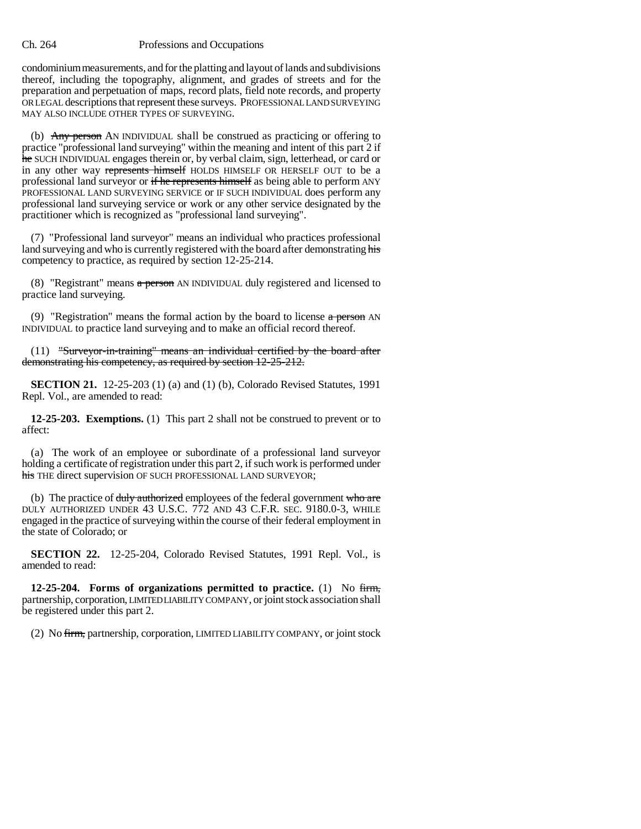condominium measurements, and for the platting and layout of lands and subdivisions thereof, including the topography, alignment, and grades of streets and for the preparation and perpetuation of maps, record plats, field note records, and property OR LEGAL descriptions that represent these surveys. PROFESSIONAL LAND SURVEYING MAY ALSO INCLUDE OTHER TYPES OF SURVEYING.

(b) Any person AN INDIVIDUAL shall be construed as practicing or offering to practice "professional land surveying" within the meaning and intent of this part 2 if he SUCH INDIVIDUAL engages therein or, by verbal claim, sign, letterhead, or card or in any other way represents himself HOLDS HIMSELF OR HERSELF OUT to be a professional land surveyor or if he represents himself as being able to perform ANY PROFESSIONAL LAND SURVEYING SERVICE or IF SUCH INDIVIDUAL does perform any professional land surveying service or work or any other service designated by the practitioner which is recognized as "professional land surveying".

(7) "Professional land surveyor" means an individual who practices professional land surveying and who is currently registered with the board after demonstrating his competency to practice, as required by section 12-25-214.

(8) "Registrant" means a person AN INDIVIDUAL duly registered and licensed to practice land surveying.

(9) "Registration" means the formal action by the board to license  $\alpha$  person AN INDIVIDUAL to practice land surveying and to make an official record thereof.

(11) "Surveyor-in-training" means an individual certified by the board after demonstrating his competency, as required by section 12-25-212.

**SECTION 21.** 12-25-203 (1) (a) and (1) (b), Colorado Revised Statutes, 1991 Repl. Vol., are amended to read:

**12-25-203. Exemptions.** (1) This part 2 shall not be construed to prevent or to affect:

(a) The work of an employee or subordinate of a professional land surveyor holding a certificate of registration under this part 2, if such work is performed under his THE direct supervision OF SUCH PROFESSIONAL LAND SURVEYOR;

(b) The practice of duly authorized employees of the federal government who are DULY AUTHORIZED UNDER 43 U.S.C. 772 AND 43 C.F.R. SEC. 9180.0-3, WHILE engaged in the practice of surveying within the course of their federal employment in the state of Colorado; or

**SECTION 22.** 12-25-204, Colorado Revised Statutes, 1991 Repl. Vol., is amended to read:

**12-25-204. Forms of organizations permitted to practice.** (1) No firm, partnership, corporation, LIMITED LIABILITY COMPANY, or joint stock association shall be registered under this part 2.

(2) No firm, partnership, corporation, LIMITED LIABILITY COMPANY, or joint stock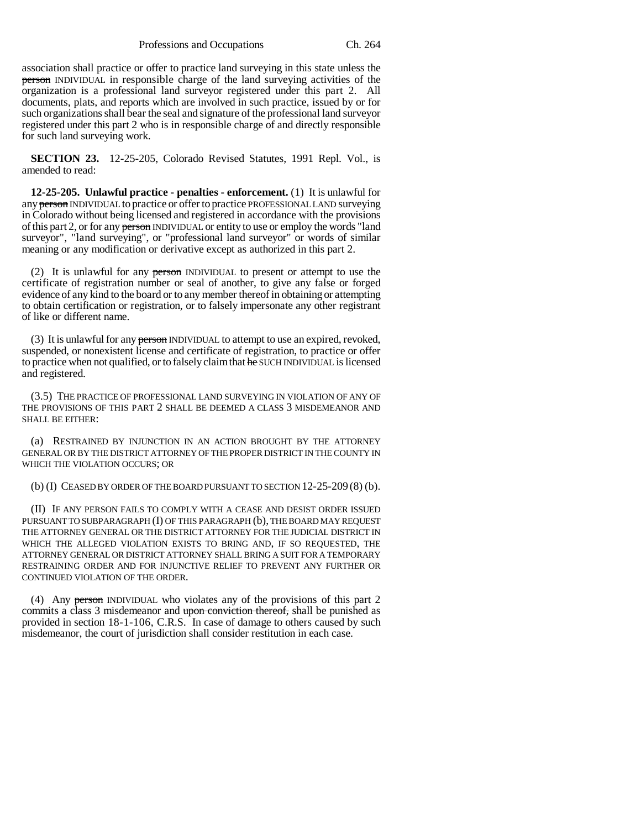Professions and Occupations Ch. 264

association shall practice or offer to practice land surveying in this state unless the person INDIVIDUAL in responsible charge of the land surveying activities of the organization is a professional land surveyor registered under this part 2. All documents, plats, and reports which are involved in such practice, issued by or for such organizations shall bear the seal and signature of the professional land surveyor registered under this part 2 who is in responsible charge of and directly responsible for such land surveying work.

**SECTION 23.** 12-25-205, Colorado Revised Statutes, 1991 Repl. Vol., is amended to read:

**12-25-205. Unlawful practice - penalties - enforcement.** (1) It is unlawful for any person INDIVIDUAL to practice or offer to practice PROFESSIONAL LAND surveying in Colorado without being licensed and registered in accordance with the provisions of this part 2, or for any person INDIVIDUAL or entity to use or employ the words "land surveyor", "land surveying", or "professional land surveyor" or words of similar meaning or any modification or derivative except as authorized in this part 2.

(2) It is unlawful for any person INDIVIDUAL to present or attempt to use the certificate of registration number or seal of another, to give any false or forged evidence of any kind to the board or to any member thereof in obtaining or attempting to obtain certification or registration, or to falsely impersonate any other registrant of like or different name.

(3) It is unlawful for any person INDIVIDUAL to attempt to use an expired, revoked, suspended, or nonexistent license and certificate of registration, to practice or offer to practice when not qualified, or to falsely claim that he SUCH INDIVIDUAL is licensed and registered.

(3.5) THE PRACTICE OF PROFESSIONAL LAND SURVEYING IN VIOLATION OF ANY OF THE PROVISIONS OF THIS PART 2 SHALL BE DEEMED A CLASS 3 MISDEMEANOR AND SHALL BE EITHER:

(a) RESTRAINED BY INJUNCTION IN AN ACTION BROUGHT BY THE ATTORNEY GENERAL OR BY THE DISTRICT ATTORNEY OF THE PROPER DISTRICT IN THE COUNTY IN WHICH THE VIOLATION OCCURS; OR

(b) (I) CEASED BY ORDER OF THE BOARD PURSUANT TO SECTION 12-25-209 (8) (b).

(II) IF ANY PERSON FAILS TO COMPLY WITH A CEASE AND DESIST ORDER ISSUED PURSUANT TO SUBPARAGRAPH (I) OF THIS PARAGRAPH (b), THE BOARD MAY REQUEST THE ATTORNEY GENERAL OR THE DISTRICT ATTORNEY FOR THE JUDICIAL DISTRICT IN WHICH THE ALLEGED VIOLATION EXISTS TO BRING AND, IF SO REQUESTED, THE ATTORNEY GENERAL OR DISTRICT ATTORNEY SHALL BRING A SUIT FOR A TEMPORARY RESTRAINING ORDER AND FOR INJUNCTIVE RELIEF TO PREVENT ANY FURTHER OR CONTINUED VIOLATION OF THE ORDER.

(4) Any person INDIVIDUAL who violates any of the provisions of this part 2 commits a class 3 misdemeanor and upon conviction thereof, shall be punished as provided in section 18-1-106, C.R.S. In case of damage to others caused by such misdemeanor, the court of jurisdiction shall consider restitution in each case.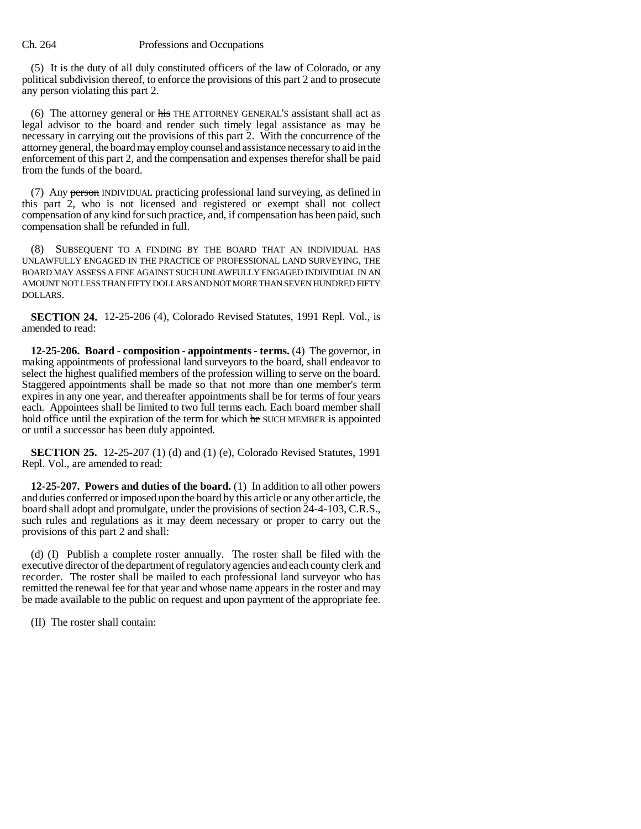(5) It is the duty of all duly constituted officers of the law of Colorado, or any political subdivision thereof, to enforce the provisions of this part 2 and to prosecute any person violating this part 2.

(6) The attorney general or his THE ATTORNEY GENERAL'S assistant shall act as legal advisor to the board and render such timely legal assistance as may be necessary in carrying out the provisions of this part 2. With the concurrence of the attorney general, the board may employ counsel and assistance necessary to aid in the enforcement of this part 2, and the compensation and expenses therefor shall be paid from the funds of the board.

(7) Any person INDIVIDUAL practicing professional land surveying, as defined in this part 2, who is not licensed and registered or exempt shall not collect compensation of any kind for such practice, and, if compensation has been paid, such compensation shall be refunded in full.

(8) SUBSEQUENT TO A FINDING BY THE BOARD THAT AN INDIVIDUAL HAS UNLAWFULLY ENGAGED IN THE PRACTICE OF PROFESSIONAL LAND SURVEYING, THE BOARD MAY ASSESS A FINE AGAINST SUCH UNLAWFULLY ENGAGED INDIVIDUAL IN AN AMOUNT NOT LESS THAN FIFTY DOLLARS AND NOT MORE THAN SEVEN HUNDRED FIFTY DOLLARS.

**SECTION 24.** 12-25-206 (4), Colorado Revised Statutes, 1991 Repl. Vol., is amended to read:

**12-25-206. Board - composition - appointments - terms.** (4) The governor, in making appointments of professional land surveyors to the board, shall endeavor to select the highest qualified members of the profession willing to serve on the board. Staggered appointments shall be made so that not more than one member's term expires in any one year, and thereafter appointments shall be for terms of four years each. Appointees shall be limited to two full terms each. Each board member shall hold office until the expiration of the term for which he SUCH MEMBER is appointed or until a successor has been duly appointed.

**SECTION 25.** 12-25-207 (1) (d) and (1) (e), Colorado Revised Statutes, 1991 Repl. Vol., are amended to read:

**12-25-207. Powers and duties of the board.** (1) In addition to all other powers and duties conferred or imposed upon the board by this article or any other article, the board shall adopt and promulgate, under the provisions of section 24-4-103, C.R.S., such rules and regulations as it may deem necessary or proper to carry out the provisions of this part 2 and shall:

(d) (I) Publish a complete roster annually. The roster shall be filed with the executive director of the department of regulatory agencies and each county clerk and recorder. The roster shall be mailed to each professional land surveyor who has remitted the renewal fee for that year and whose name appears in the roster and may be made available to the public on request and upon payment of the appropriate fee.

(II) The roster shall contain: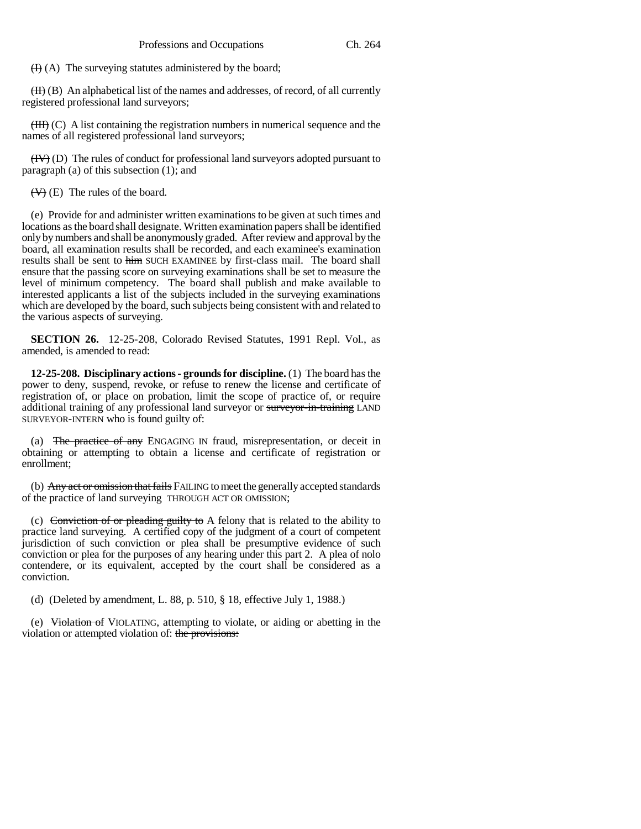$(H)$  (A) The surveying statutes administered by the board;

 $(H)$  (B) An alphabetical list of the names and addresses, of record, of all currently registered professional land surveyors;

 $(HH)$  (C) A list containing the registration numbers in numerical sequence and the names of all registered professional land surveyors;

 $(HV)$  (D) The rules of conduct for professional land surveyors adopted pursuant to paragraph (a) of this subsection (1); and

 $(\forall)$  (E) The rules of the board.

(e) Provide for and administer written examinations to be given at such times and locations as the board shall designate. Written examination papers shall be identified only by numbers and shall be anonymously graded. After review and approval by the board, all examination results shall be recorded, and each examinee's examination results shall be sent to him SUCH EXAMINEE by first-class mail. The board shall ensure that the passing score on surveying examinations shall be set to measure the level of minimum competency. The board shall publish and make available to interested applicants a list of the subjects included in the surveying examinations which are developed by the board, such subjects being consistent with and related to the various aspects of surveying.

**SECTION 26.** 12-25-208, Colorado Revised Statutes, 1991 Repl. Vol., as amended, is amended to read:

**12-25-208. Disciplinary actions - grounds for discipline.** (1) The board has the power to deny, suspend, revoke, or refuse to renew the license and certificate of registration of, or place on probation, limit the scope of practice of, or require additional training of any professional land surveyor or surveyor-in-training LAND SURVEYOR-INTERN who is found guilty of:

(a) The practice of any ENGAGING IN fraud, misrepresentation, or deceit in obtaining or attempting to obtain a license and certificate of registration or enrollment;

(b) Any act or omission that fails FAILING to meet the generally accepted standards of the practice of land surveying THROUGH ACT OR OMISSION;

(c) Conviction of or pleading guilty to A felony that is related to the ability to practice land surveying. A certified copy of the judgment of a court of competent jurisdiction of such conviction or plea shall be presumptive evidence of such conviction or plea for the purposes of any hearing under this part 2. A plea of nolo contendere, or its equivalent, accepted by the court shall be considered as a conviction.

(d) (Deleted by amendment, L. 88, p. 510, § 18, effective July 1, 1988.)

(e) Violation of VIOLATING, attempting to violate, or aiding or abetting in the violation or attempted violation of: the provisions: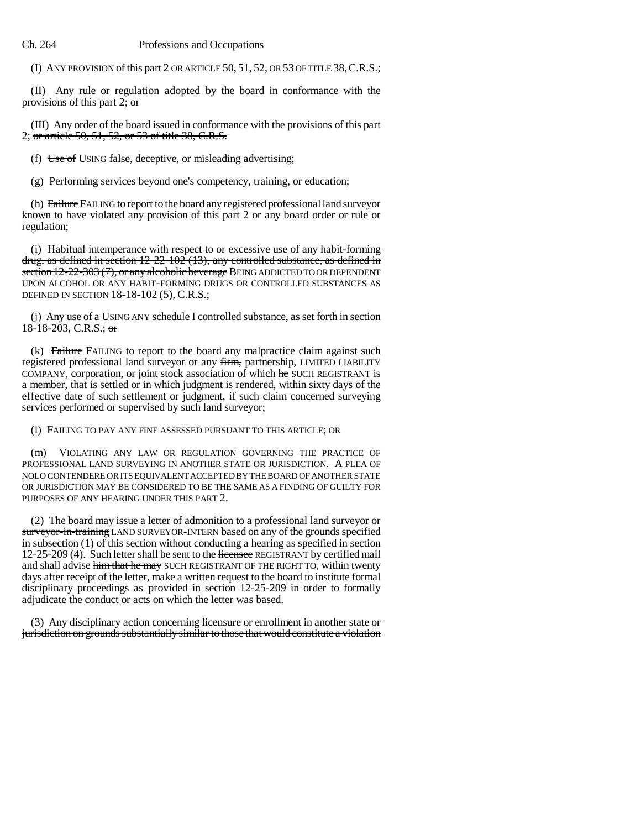(I) ANY PROVISION of this part 2 OR ARTICLE 50, 51, 52, OR 53 OF TITLE 38,C.R.S.;

(II) Any rule or regulation adopted by the board in conformance with the provisions of this part 2; or

(III) Any order of the board issued in conformance with the provisions of this part 2; or article 50, 51, 52, or 53 of title 38, C.R.S.

(f) Use of USING false, deceptive, or misleading advertising;

(g) Performing services beyond one's competency, training, or education;

(h) Failure FAILING to report to the board any registered professional land surveyor known to have violated any provision of this part 2 or any board order or rule or regulation;

(i) Habitual intemperance with respect to or excessive use of any habit-forming drug, as defined in section  $12-22-102$  (13), any controlled substance, as defined in section 12-22-303 (7), or any alcoholic beverage BEING ADDICTED TO OR DEPENDENT UPON ALCOHOL OR ANY HABIT-FORMING DRUGS OR CONTROLLED SUBSTANCES AS DEFINED IN SECTION 18-18-102 (5), C.R.S.;

(j) Any use of a USING ANY schedule I controlled substance, as set forth in section 18-18-203, C.R.S.;  $\sigma$ 

(k) Failure FAILING to report to the board any malpractice claim against such registered professional land surveyor or any firm, partnership, LIMITED LIABILITY COMPANY, corporation, or joint stock association of which he SUCH REGISTRANT is a member, that is settled or in which judgment is rendered, within sixty days of the effective date of such settlement or judgment, if such claim concerned surveying services performed or supervised by such land surveyor;

(l) FAILING TO PAY ANY FINE ASSESSED PURSUANT TO THIS ARTICLE; OR

(m) VIOLATING ANY LAW OR REGULATION GOVERNING THE PRACTICE OF PROFESSIONAL LAND SURVEYING IN ANOTHER STATE OR JURISDICTION. A PLEA OF NOLO CONTENDERE OR ITS EQUIVALENT ACCEPTED BY THE BOARD OF ANOTHER STATE OR JURISDICTION MAY BE CONSIDERED TO BE THE SAME AS A FINDING OF GUILTY FOR PURPOSES OF ANY HEARING UNDER THIS PART 2.

(2) The board may issue a letter of admonition to a professional land surveyor or surveyor-in-training LAND SURVEYOR-INTERN based on any of the grounds specified in subsection (1) of this section without conducting a hearing as specified in section 12-25-209 (4). Such letter shall be sent to the licensee REGISTRANT by certified mail and shall advise him that he may SUCH REGISTRANT OF THE RIGHT TO, within twenty days after receipt of the letter, make a written request to the board to institute formal disciplinary proceedings as provided in section 12-25-209 in order to formally adjudicate the conduct or acts on which the letter was based.

(3) Any disciplinary action concerning licensure or enrollment in another state or jurisdiction on grounds substantially similar to those that would constitute a violation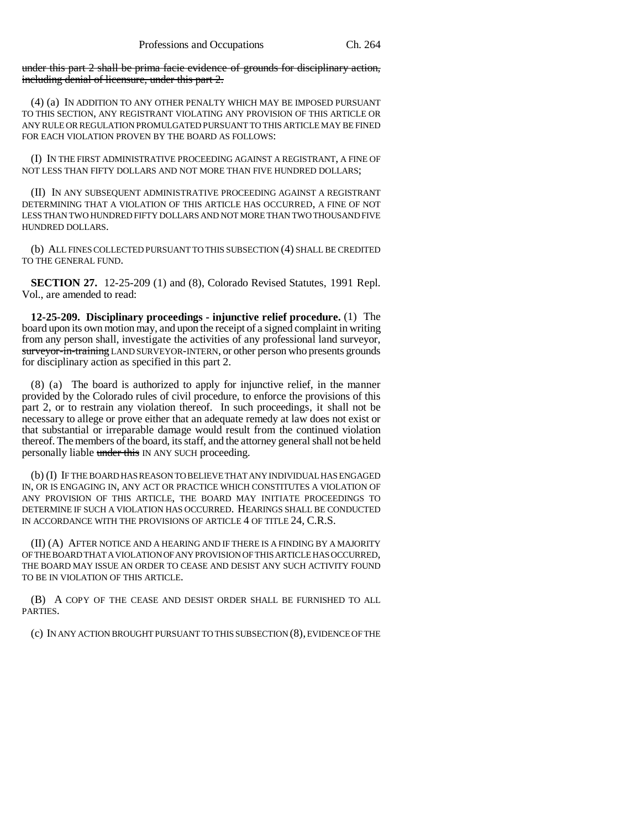under this part 2 shall be prima facie evidence of grounds for disciplinary action, including denial of licensure, under this part 2.

(4) (a) IN ADDITION TO ANY OTHER PENALTY WHICH MAY BE IMPOSED PURSUANT TO THIS SECTION, ANY REGISTRANT VIOLATING ANY PROVISION OF THIS ARTICLE OR ANY RULE OR REGULATION PROMULGATED PURSUANT TO THIS ARTICLE MAY BE FINED FOR EACH VIOLATION PROVEN BY THE BOARD AS FOLLOWS:

(I) IN THE FIRST ADMINISTRATIVE PROCEEDING AGAINST A REGISTRANT, A FINE OF NOT LESS THAN FIFTY DOLLARS AND NOT MORE THAN FIVE HUNDRED DOLLARS;

(II) IN ANY SUBSEQUENT ADMINISTRATIVE PROCEEDING AGAINST A REGISTRANT DETERMINING THAT A VIOLATION OF THIS ARTICLE HAS OCCURRED, A FINE OF NOT LESS THAN TWO HUNDRED FIFTY DOLLARS AND NOT MORE THAN TWO THOUSAND FIVE HUNDRED DOLLARS.

(b) ALL FINES COLLECTED PURSUANT TO THIS SUBSECTION (4) SHALL BE CREDITED TO THE GENERAL FUND.

**SECTION 27.** 12-25-209 (1) and (8), Colorado Revised Statutes, 1991 Repl. Vol., are amended to read:

**12-25-209. Disciplinary proceedings - injunctive relief procedure.** (1) The board upon its own motion may, and upon the receipt of a signed complaint in writing from any person shall, investigate the activities of any professional land surveyor, surveyor-in-training LAND SURVEYOR-INTERN, or other person who presents grounds for disciplinary action as specified in this part 2.

(8) (a) The board is authorized to apply for injunctive relief, in the manner provided by the Colorado rules of civil procedure, to enforce the provisions of this part 2, or to restrain any violation thereof. In such proceedings, it shall not be necessary to allege or prove either that an adequate remedy at law does not exist or that substantial or irreparable damage would result from the continued violation thereof. The members of the board, its staff, and the attorney general shall not be held personally liable under this IN ANY SUCH proceeding.

(b) (I) IF THE BOARD HAS REASON TO BELIEVE THAT ANY INDIVIDUAL HAS ENGAGED IN, OR IS ENGAGING IN, ANY ACT OR PRACTICE WHICH CONSTITUTES A VIOLATION OF ANY PROVISION OF THIS ARTICLE, THE BOARD MAY INITIATE PROCEEDINGS TO DETERMINE IF SUCH A VIOLATION HAS OCCURRED. HEARINGS SHALL BE CONDUCTED IN ACCORDANCE WITH THE PROVISIONS OF ARTICLE 4 OF TITLE 24, C.R.S.

(II) (A) AFTER NOTICE AND A HEARING AND IF THERE IS A FINDING BY A MAJORITY OF THE BOARD THAT A VIOLATION OF ANY PROVISION OF THIS ARTICLE HAS OCCURRED, THE BOARD MAY ISSUE AN ORDER TO CEASE AND DESIST ANY SUCH ACTIVITY FOUND TO BE IN VIOLATION OF THIS ARTICLE.

(B) A COPY OF THE CEASE AND DESIST ORDER SHALL BE FURNISHED TO ALL PARTIES.

(c) IN ANY ACTION BROUGHT PURSUANT TO THIS SUBSECTION (8), EVIDENCE OF THE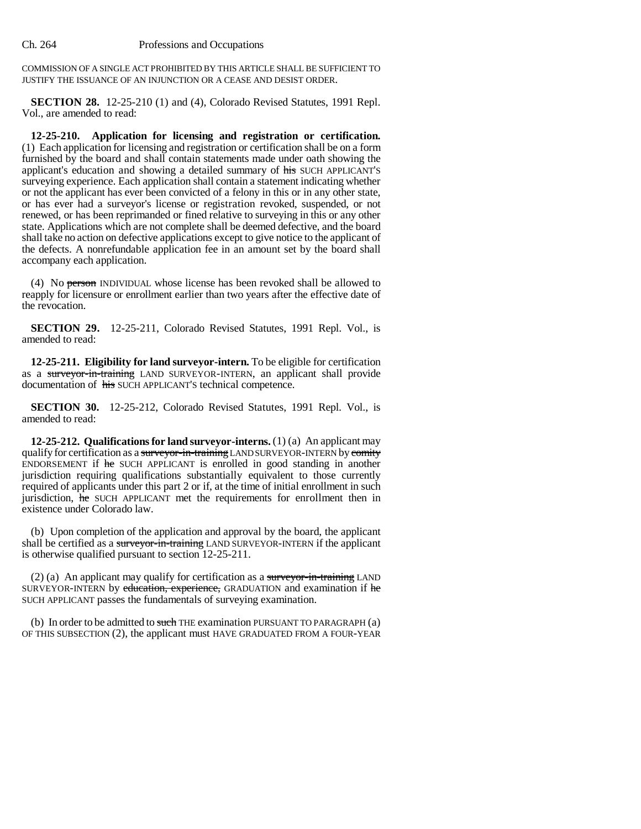COMMISSION OF A SINGLE ACT PROHIBITED BY THIS ARTICLE SHALL BE SUFFICIENT TO JUSTIFY THE ISSUANCE OF AN INJUNCTION OR A CEASE AND DESIST ORDER.

**SECTION 28.** 12-25-210 (1) and (4), Colorado Revised Statutes, 1991 Repl. Vol., are amended to read:

**12-25-210. Application for licensing and registration or certification.** (1) Each application for licensing and registration or certification shall be on a form furnished by the board and shall contain statements made under oath showing the applicant's education and showing a detailed summary of his SUCH APPLICANT'S surveying experience. Each application shall contain a statement indicating whether or not the applicant has ever been convicted of a felony in this or in any other state, or has ever had a surveyor's license or registration revoked, suspended, or not renewed, or has been reprimanded or fined relative to surveying in this or any other state. Applications which are not complete shall be deemed defective, and the board shall take no action on defective applications except to give notice to the applicant of the defects. A nonrefundable application fee in an amount set by the board shall accompany each application.

(4) No person INDIVIDUAL whose license has been revoked shall be allowed to reapply for licensure or enrollment earlier than two years after the effective date of the revocation.

**SECTION 29.** 12-25-211, Colorado Revised Statutes, 1991 Repl. Vol., is amended to read:

**12-25-211. Eligibility for land surveyor-intern.** To be eligible for certification as a surveyor-in-training LAND SURVEYOR-INTERN, an applicant shall provide documentation of his SUCH APPLICANT'S technical competence.

**SECTION 30.** 12-25-212, Colorado Revised Statutes, 1991 Repl. Vol., is amended to read:

**12-25-212. Qualifications for land surveyor-interns.** (1) (a) An applicant may qualify for certification as a surveyor-in-training LAND SURVEYOR-INTERN by comity ENDORSEMENT if he SUCH APPLICANT is enrolled in good standing in another jurisdiction requiring qualifications substantially equivalent to those currently required of applicants under this part 2 or if, at the time of initial enrollment in such jurisdiction, he SUCH APPLICANT met the requirements for enrollment then in existence under Colorado law.

(b) Upon completion of the application and approval by the board, the applicant shall be certified as a surveyor-in-training LAND SURVEYOR-INTERN if the applicant is otherwise qualified pursuant to section 12-25-211.

(2) (a) An applicant may qualify for certification as a surveyor-in-training LAND SURVEYOR-INTERN by education, experience, GRADUATION and examination if he SUCH APPLICANT passes the fundamentals of surveying examination.

(b) In order to be admitted to such THE examination PURSUANT TO PARAGRAPH  $(a)$ OF THIS SUBSECTION (2), the applicant must HAVE GRADUATED FROM A FOUR-YEAR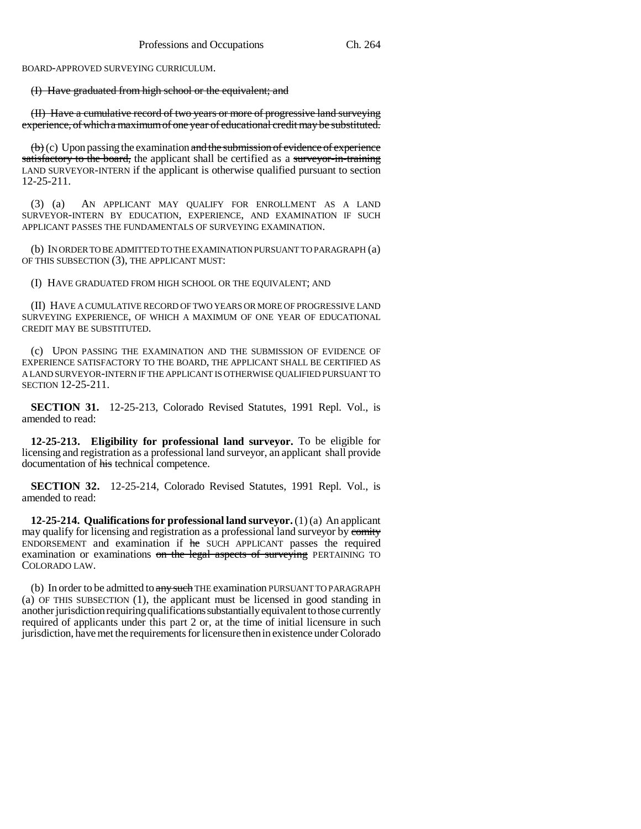BOARD-APPROVED SURVEYING CURRICULUM.

(I) Have graduated from high school or the equivalent; and

(II) Have a cumulative record of two years or more of progressive land surveying experience, of which a maximum of one year of educational credit may be substituted.

 $(b)$  (c) Upon passing the examination and the submission of evidence of experience satisfactory to the board, the applicant shall be certified as a surveyor-in-training LAND SURVEYOR-INTERN if the applicant is otherwise qualified pursuant to section 12-25-211.

(3) (a) AN APPLICANT MAY QUALIFY FOR ENROLLMENT AS A LAND SURVEYOR-INTERN BY EDUCATION, EXPERIENCE, AND EXAMINATION IF SUCH APPLICANT PASSES THE FUNDAMENTALS OF SURVEYING EXAMINATION.

(b) IN ORDER TO BE ADMITTED TO THE EXAMINATION PURSUANT TO PARAGRAPH (a) OF THIS SUBSECTION (3), THE APPLICANT MUST:

(I) HAVE GRADUATED FROM HIGH SCHOOL OR THE EQUIVALENT; AND

(II) HAVE A CUMULATIVE RECORD OF TWO YEARS OR MORE OF PROGRESSIVE LAND SURVEYING EXPERIENCE, OF WHICH A MAXIMUM OF ONE YEAR OF EDUCATIONAL CREDIT MAY BE SUBSTITUTED.

(c) UPON PASSING THE EXAMINATION AND THE SUBMISSION OF EVIDENCE OF EXPERIENCE SATISFACTORY TO THE BOARD, THE APPLICANT SHALL BE CERTIFIED AS A LAND SURVEYOR-INTERN IF THE APPLICANT IS OTHERWISE QUALIFIED PURSUANT TO SECTION 12-25-211.

**SECTION 31.** 12-25-213, Colorado Revised Statutes, 1991 Repl. Vol., is amended to read:

**12-25-213. Eligibility for professional land surveyor.** To be eligible for licensing and registration as a professional land surveyor, an applicant shall provide documentation of his technical competence.

**SECTION 32.** 12-25-214, Colorado Revised Statutes, 1991 Repl. Vol., is amended to read:

**12-25-214. Qualifications for professional land surveyor.** (1) (a) An applicant may qualify for licensing and registration as a professional land surveyor by comity ENDORSEMENT and examination if he SUCH APPLICANT passes the required examination or examinations on the legal aspects of surveying PERTAINING TO COLORADO LAW.

(b) In order to be admitted to any such THE examination PURSUANT TO PARAGRAPH (a) OF THIS SUBSECTION (1), the applicant must be licensed in good standing in another jurisdiction requiring qualifications substantially equivalent to those currently required of applicants under this part 2 or, at the time of initial licensure in such jurisdiction, have met the requirements for licensure then in existence under Colorado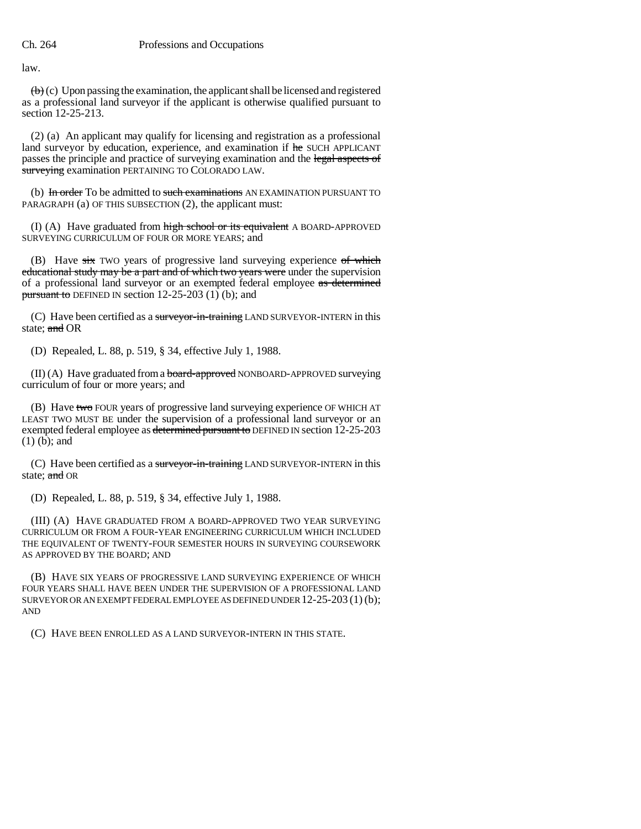law.

 $\left(\mathbf{b}\right)$  (c) Upon passing the examination, the applicant shall be licensed and registered as a professional land surveyor if the applicant is otherwise qualified pursuant to section 12-25-213.

(2) (a) An applicant may qualify for licensing and registration as a professional land surveyor by education, experience, and examination if he SUCH APPLICANT passes the principle and practice of surveying examination and the legal aspects of surveying examination PERTAINING TO COLORADO LAW.

(b) In order To be admitted to such examinations AN EXAMINATION PURSUANT TO PARAGRAPH (a) OF THIS SUBSECTION (2), the applicant must:

(I) (A) Have graduated from  $\frac{h}{h}$  school or its equivalent A BOARD-APPROVED SURVEYING CURRICULUM OF FOUR OR MORE YEARS; and

(B) Have  $s\overline{t}x$  TWO years of progressive land surveying experience of which educational study may be a part and of which two years were under the supervision of a professional land surveyor or an exempted federal employee as determined pursuant to DEFINED IN section 12-25-203 (1) (b); and

(C) Have been certified as a surveyor-in-training LAND SURVEYOR-INTERN in this state; and OR

(D) Repealed, L. 88, p. 519, § 34, effective July 1, 1988.

 $(II)$  (A) Have graduated from a **board-approved** NONBOARD-APPROVED surveying curriculum of four or more years; and

(B) Have two FOUR years of progressive land surveying experience OF WHICH AT LEAST TWO MUST BE under the supervision of a professional land surveyor or an exempted federal employee as determined pursuant to DEFINED IN section 12-25-203 (1) (b); and

(C) Have been certified as a surveyor-in-training LAND SURVEYOR-INTERN in this state; and OR

(D) Repealed, L. 88, p. 519, § 34, effective July 1, 1988.

(III) (A) HAVE GRADUATED FROM A BOARD-APPROVED TWO YEAR SURVEYING CURRICULUM OR FROM A FOUR-YEAR ENGINEERING CURRICULUM WHICH INCLUDED THE EQUIVALENT OF TWENTY-FOUR SEMESTER HOURS IN SURVEYING COURSEWORK AS APPROVED BY THE BOARD; AND

(B) HAVE SIX YEARS OF PROGRESSIVE LAND SURVEYING EXPERIENCE OF WHICH FOUR YEARS SHALL HAVE BEEN UNDER THE SUPERVISION OF A PROFESSIONAL LAND SURVEYOR OR AN EXEMPT FEDERAL EMPLOYEE AS DEFINED UNDER 12-25-203 (1) (b); AND

(C) HAVE BEEN ENROLLED AS A LAND SURVEYOR-INTERN IN THIS STATE.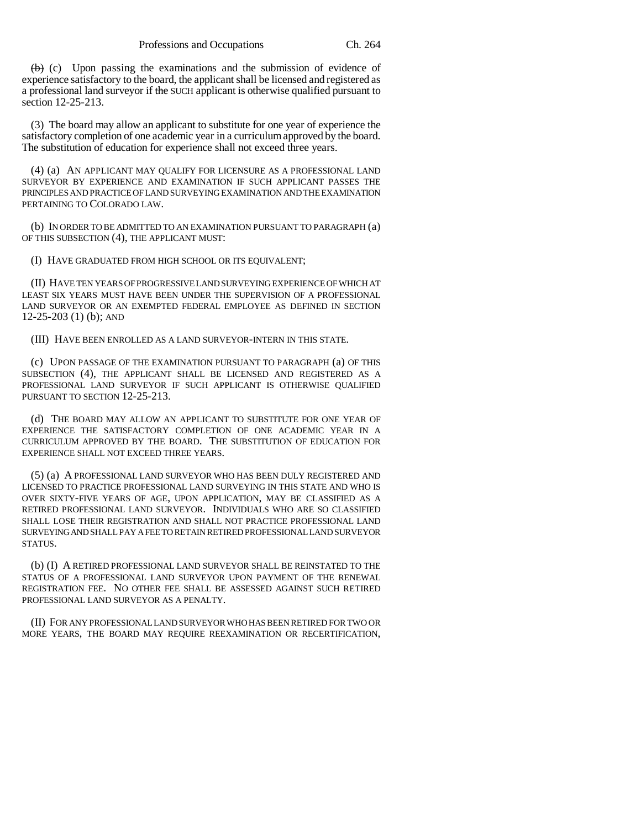$(b)$  (c) Upon passing the examinations and the submission of evidence of experience satisfactory to the board, the applicant shall be licensed and registered as a professional land surveyor if the SUCH applicant is otherwise qualified pursuant to section 12-25-213.

(3) The board may allow an applicant to substitute for one year of experience the satisfactory completion of one academic year in a curriculum approved by the board. The substitution of education for experience shall not exceed three years.

(4) (a) AN APPLICANT MAY QUALIFY FOR LICENSURE AS A PROFESSIONAL LAND SURVEYOR BY EXPERIENCE AND EXAMINATION IF SUCH APPLICANT PASSES THE PRINCIPLES AND PRACTICE OF LAND SURVEYING EXAMINATION AND THE EXAMINATION PERTAINING TO COLORADO LAW.

(b) IN ORDER TO BE ADMITTED TO AN EXAMINATION PURSUANT TO PARAGRAPH (a) OF THIS SUBSECTION (4), THE APPLICANT MUST:

(I) HAVE GRADUATED FROM HIGH SCHOOL OR ITS EQUIVALENT;

(II) HAVE TEN YEARS OF PROGRESSIVE LAND SURVEYING EXPERIENCE OF WHICH AT LEAST SIX YEARS MUST HAVE BEEN UNDER THE SUPERVISION OF A PROFESSIONAL LAND SURVEYOR OR AN EXEMPTED FEDERAL EMPLOYEE AS DEFINED IN SECTION 12-25-203 (1) (b); AND

(III) HAVE BEEN ENROLLED AS A LAND SURVEYOR-INTERN IN THIS STATE.

(c) UPON PASSAGE OF THE EXAMINATION PURSUANT TO PARAGRAPH (a) OF THIS SUBSECTION (4), THE APPLICANT SHALL BE LICENSED AND REGISTERED AS A PROFESSIONAL LAND SURVEYOR IF SUCH APPLICANT IS OTHERWISE QUALIFIED PURSUANT TO SECTION 12-25-213.

(d) THE BOARD MAY ALLOW AN APPLICANT TO SUBSTITUTE FOR ONE YEAR OF EXPERIENCE THE SATISFACTORY COMPLETION OF ONE ACADEMIC YEAR IN A CURRICULUM APPROVED BY THE BOARD. THE SUBSTITUTION OF EDUCATION FOR EXPERIENCE SHALL NOT EXCEED THREE YEARS.

(5) (a) A PROFESSIONAL LAND SURVEYOR WHO HAS BEEN DULY REGISTERED AND LICENSED TO PRACTICE PROFESSIONAL LAND SURVEYING IN THIS STATE AND WHO IS OVER SIXTY-FIVE YEARS OF AGE, UPON APPLICATION, MAY BE CLASSIFIED AS A RETIRED PROFESSIONAL LAND SURVEYOR. INDIVIDUALS WHO ARE SO CLASSIFIED SHALL LOSE THEIR REGISTRATION AND SHALL NOT PRACTICE PROFESSIONAL LAND SURVEYING AND SHALL PAY A FEE TO RETAIN RETIRED PROFESSIONAL LAND SURVEYOR STATUS.

(b) (I) A RETIRED PROFESSIONAL LAND SURVEYOR SHALL BE REINSTATED TO THE STATUS OF A PROFESSIONAL LAND SURVEYOR UPON PAYMENT OF THE RENEWAL REGISTRATION FEE. NO OTHER FEE SHALL BE ASSESSED AGAINST SUCH RETIRED PROFESSIONAL LAND SURVEYOR AS A PENALTY.

(II) FOR ANY PROFESSIONAL LAND SURVEYOR WHO HAS BEEN RETIRED FOR TWO OR MORE YEARS, THE BOARD MAY REQUIRE REEXAMINATION OR RECERTIFICATION,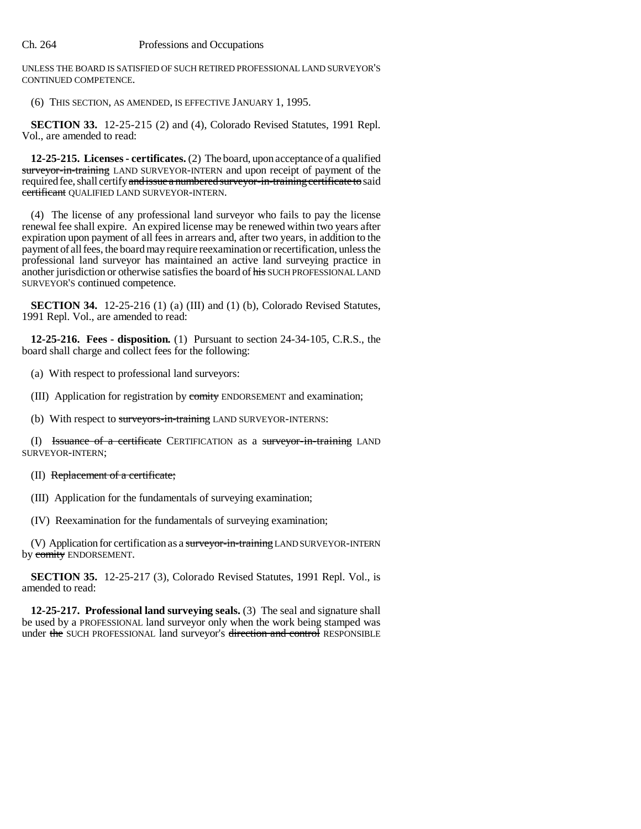UNLESS THE BOARD IS SATISFIED OF SUCH RETIRED PROFESSIONAL LAND SURVEYOR'S CONTINUED COMPETENCE.

(6) THIS SECTION, AS AMENDED, IS EFFECTIVE JANUARY 1, 1995.

**SECTION 33.** 12-25-215 (2) and (4), Colorado Revised Statutes, 1991 Repl. Vol., are amended to read:

**12-25-215. Licenses - certificates.** (2) The board, upon acceptance of a qualified surveyor-in-training LAND SURVEYOR-INTERN and upon receipt of payment of the required fee, shall certify and issue a numbered surveyor-in-training certificate to said certificant QUALIFIED LAND SURVEYOR-INTERN.

(4) The license of any professional land surveyor who fails to pay the license renewal fee shall expire. An expired license may be renewed within two years after expiration upon payment of all fees in arrears and, after two years, in addition to the payment of all fees, the board may require reexamination or recertification, unless the professional land surveyor has maintained an active land surveying practice in another jurisdiction or otherwise satisfies the board of his SUCH PROFESSIONAL LAND SURVEYOR'S continued competence.

**SECTION 34.** 12-25-216 (1) (a) (III) and (1) (b), Colorado Revised Statutes, 1991 Repl. Vol., are amended to read:

**12-25-216. Fees - disposition.** (1) Pursuant to section 24-34-105, C.R.S., the board shall charge and collect fees for the following:

(a) With respect to professional land surveyors:

(III) Application for registration by comity ENDORSEMENT and examination;

(b) With respect to surveyors-in-training LAND SURVEYOR-INTERNS:

(I) Issuance of a certificate CERTIFICATION as a surveyor-in-training LAND SURVEYOR-INTERN;

(II) Replacement of a certificate;

(III) Application for the fundamentals of surveying examination;

(IV) Reexamination for the fundamentals of surveying examination;

(V) Application for certification as a surveyor-in-training LAND SURVEYOR-INTERN by comity ENDORSEMENT.

**SECTION 35.** 12-25-217 (3), Colorado Revised Statutes, 1991 Repl. Vol., is amended to read:

**12-25-217. Professional land surveying seals.** (3) The seal and signature shall be used by a PROFESSIONAL land surveyor only when the work being stamped was under the SUCH PROFESSIONAL land surveyor's direction and control RESPONSIBLE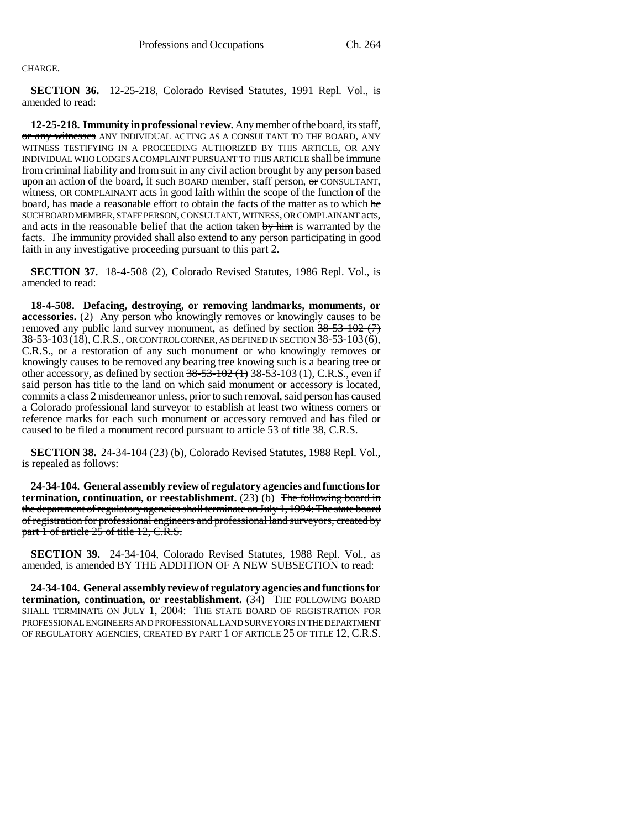CHARGE.

**SECTION 36.** 12-25-218, Colorado Revised Statutes, 1991 Repl. Vol., is amended to read:

**12-25-218. Immunity in professional review.** Any member of the board, its staff, or any witnesses ANY INDIVIDUAL ACTING AS A CONSULTANT TO THE BOARD, ANY WITNESS TESTIFYING IN A PROCEEDING AUTHORIZED BY THIS ARTICLE, OR ANY INDIVIDUAL WHO LODGES A COMPLAINT PURSUANT TO THIS ARTICLE shall be immune from criminal liability and from suit in any civil action brought by any person based upon an action of the board, if such BOARD member, staff person,  $\Theta$  CONSULTANT, witness, OR COMPLAINANT acts in good faith within the scope of the function of the board, has made a reasonable effort to obtain the facts of the matter as to which he SUCH BOARD MEMBER, STAFF PERSON, CONSULTANT, WITNESS, OR COMPLAINANT acts, and acts in the reasonable belief that the action taken by him is warranted by the facts. The immunity provided shall also extend to any person participating in good faith in any investigative proceeding pursuant to this part 2.

**SECTION 37.** 18-4-508 (2), Colorado Revised Statutes, 1986 Repl. Vol., is amended to read:

**18-4-508. Defacing, destroying, or removing landmarks, monuments, or accessories.** (2) Any person who knowingly removes or knowingly causes to be removed any public land survey monument, as defined by section  $38-53-102$  (7) 38-53-103(18), C.R.S., OR CONTROL CORNER, AS DEFINED IN SECTION 38-53-103(6), C.R.S., or a restoration of any such monument or who knowingly removes or knowingly causes to be removed any bearing tree knowing such is a bearing tree or other accessory, as defined by section  $38-53-102$  (1) 38-53-103 (1), C.R.S., even if said person has title to the land on which said monument or accessory is located, commits a class 2 misdemeanor unless, prior to such removal, said person has caused a Colorado professional land surveyor to establish at least two witness corners or reference marks for each such monument or accessory removed and has filed or caused to be filed a monument record pursuant to article 53 of title 38, C.R.S.

**SECTION 38.** 24-34-104 (23) (b), Colorado Revised Statutes, 1988 Repl. Vol., is repealed as follows:

**24-34-104. General assembly review of regulatory agencies and functions for termination, continuation, or reestablishment.**  $(23)$  (b) The following board in the department of regulatory agencies shall terminate on July 1, 1994: The state board of registration for professional engineers and professional land surveyors, created by part 1 of article 25 of title 12, C.R.S.

**SECTION 39.** 24-34-104, Colorado Revised Statutes, 1988 Repl. Vol., as amended, is amended BY THE ADDITION OF A NEW SUBSECTION to read:

**24-34-104. General assembly review of regulatory agencies and functions for termination, continuation, or reestablishment.** (34) THE FOLLOWING BOARD SHALL TERMINATE ON JULY 1, 2004: THE STATE BOARD OF REGISTRATION FOR PROFESSIONAL ENGINEERS AND PROFESSIONAL LAND SURVEYORS IN THE DEPARTMENT OF REGULATORY AGENCIES, CREATED BY PART 1 OF ARTICLE 25 OF TITLE 12, C.R.S.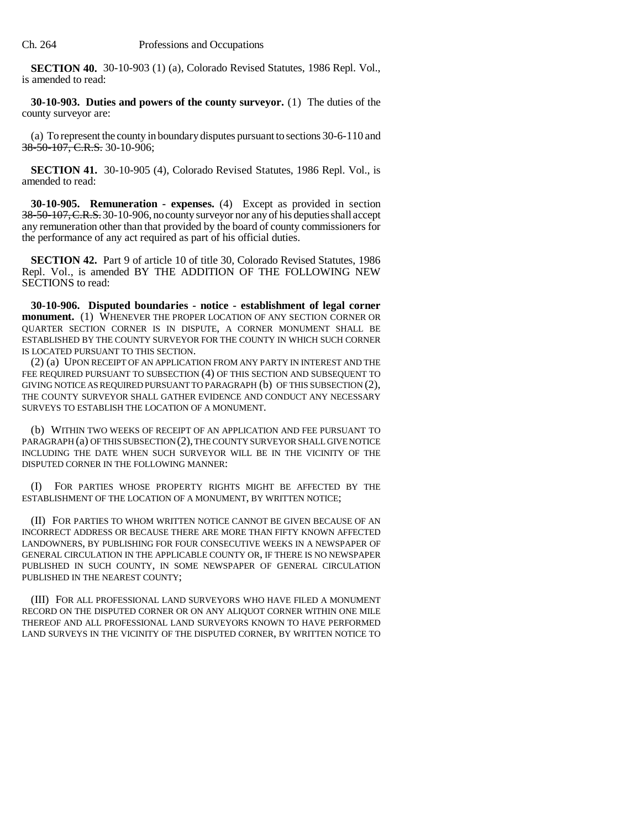**SECTION 40.** 30-10-903 (1) (a), Colorado Revised Statutes, 1986 Repl. Vol., is amended to read:

**30-10-903. Duties and powers of the county surveyor.** (1) The duties of the county surveyor are:

(a) To represent the county in boundary disputes pursuant to sections 30-6-110 and 38-50-107, C.R.S. 30-10-906;

**SECTION 41.** 30-10-905 (4), Colorado Revised Statutes, 1986 Repl. Vol., is amended to read:

**30-10-905. Remuneration - expenses.** (4) Except as provided in section 38-50-107, C.R.S. 30-10-906, no county surveyor nor any of his deputies shall accept any remuneration other than that provided by the board of county commissioners for the performance of any act required as part of his official duties.

**SECTION 42.** Part 9 of article 10 of title 30, Colorado Revised Statutes, 1986 Repl. Vol., is amended BY THE ADDITION OF THE FOLLOWING NEW SECTIONS to read:

**30-10-906. Disputed boundaries - notice - establishment of legal corner monument.** (1) WHENEVER THE PROPER LOCATION OF ANY SECTION CORNER OR QUARTER SECTION CORNER IS IN DISPUTE, A CORNER MONUMENT SHALL BE ESTABLISHED BY THE COUNTY SURVEYOR FOR THE COUNTY IN WHICH SUCH CORNER IS LOCATED PURSUANT TO THIS SECTION.

(2) (a) UPON RECEIPT OF AN APPLICATION FROM ANY PARTY IN INTEREST AND THE FEE REQUIRED PURSUANT TO SUBSECTION (4) OF THIS SECTION AND SUBSEQUENT TO GIVING NOTICE AS REQUIRED PURSUANT TO PARAGRAPH (b) OF THIS SUBSECTION (2), THE COUNTY SURVEYOR SHALL GATHER EVIDENCE AND CONDUCT ANY NECESSARY SURVEYS TO ESTABLISH THE LOCATION OF A MONUMENT.

(b) WITHIN TWO WEEKS OF RECEIPT OF AN APPLICATION AND FEE PURSUANT TO PARAGRAPH (a) OF THIS SUBSECTION (2), THE COUNTY SURVEYOR SHALL GIVE NOTICE INCLUDING THE DATE WHEN SUCH SURVEYOR WILL BE IN THE VICINITY OF THE DISPUTED CORNER IN THE FOLLOWING MANNER:

(I) FOR PARTIES WHOSE PROPERTY RIGHTS MIGHT BE AFFECTED BY THE ESTABLISHMENT OF THE LOCATION OF A MONUMENT, BY WRITTEN NOTICE;

(II) FOR PARTIES TO WHOM WRITTEN NOTICE CANNOT BE GIVEN BECAUSE OF AN INCORRECT ADDRESS OR BECAUSE THERE ARE MORE THAN FIFTY KNOWN AFFECTED LANDOWNERS, BY PUBLISHING FOR FOUR CONSECUTIVE WEEKS IN A NEWSPAPER OF GENERAL CIRCULATION IN THE APPLICABLE COUNTY OR, IF THERE IS NO NEWSPAPER PUBLISHED IN SUCH COUNTY, IN SOME NEWSPAPER OF GENERAL CIRCULATION PUBLISHED IN THE NEAREST COUNTY;

(III) FOR ALL PROFESSIONAL LAND SURVEYORS WHO HAVE FILED A MONUMENT RECORD ON THE DISPUTED CORNER OR ON ANY ALIQUOT CORNER WITHIN ONE MILE THEREOF AND ALL PROFESSIONAL LAND SURVEYORS KNOWN TO HAVE PERFORMED LAND SURVEYS IN THE VICINITY OF THE DISPUTED CORNER, BY WRITTEN NOTICE TO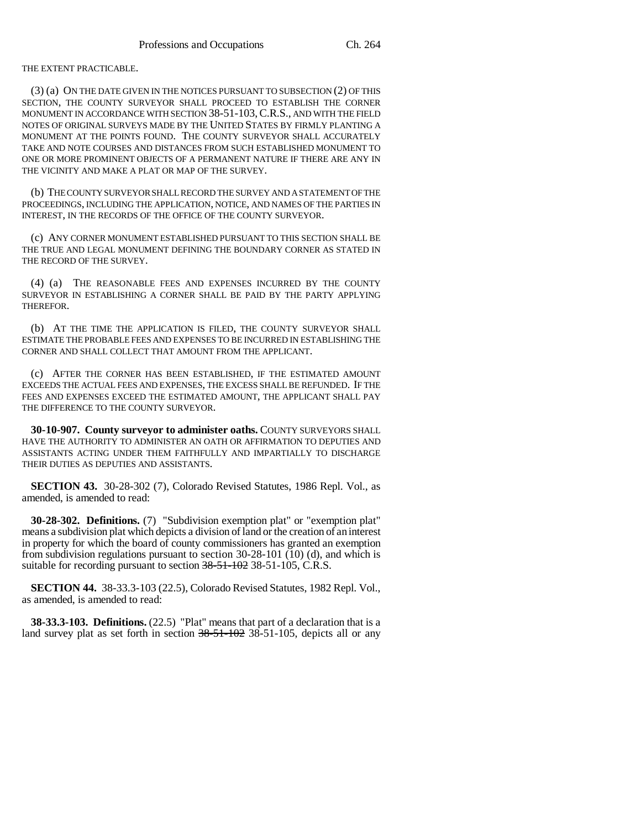THE EXTENT PRACTICABLE.

(3) (a) ON THE DATE GIVEN IN THE NOTICES PURSUANT TO SUBSECTION (2) OF THIS SECTION, THE COUNTY SURVEYOR SHALL PROCEED TO ESTABLISH THE CORNER MONUMENT IN ACCORDANCE WITH SECTION 38-51-103,C.R.S., AND WITH THE FIELD NOTES OF ORIGINAL SURVEYS MADE BY THE UNITED STATES BY FIRMLY PLANTING A MONUMENT AT THE POINTS FOUND. THE COUNTY SURVEYOR SHALL ACCURATELY TAKE AND NOTE COURSES AND DISTANCES FROM SUCH ESTABLISHED MONUMENT TO ONE OR MORE PROMINENT OBJECTS OF A PERMANENT NATURE IF THERE ARE ANY IN THE VICINITY AND MAKE A PLAT OR MAP OF THE SURVEY.

(b) THE COUNTY SURVEYOR SHALL RECORD THE SURVEY AND A STATEMENT OF THE PROCEEDINGS, INCLUDING THE APPLICATION, NOTICE, AND NAMES OF THE PARTIES IN INTEREST, IN THE RECORDS OF THE OFFICE OF THE COUNTY SURVEYOR.

(c) ANY CORNER MONUMENT ESTABLISHED PURSUANT TO THIS SECTION SHALL BE THE TRUE AND LEGAL MONUMENT DEFINING THE BOUNDARY CORNER AS STATED IN THE RECORD OF THE SURVEY.

(4) (a) THE REASONABLE FEES AND EXPENSES INCURRED BY THE COUNTY SURVEYOR IN ESTABLISHING A CORNER SHALL BE PAID BY THE PARTY APPLYING THEREFOR.

(b) AT THE TIME THE APPLICATION IS FILED, THE COUNTY SURVEYOR SHALL ESTIMATE THE PROBABLE FEES AND EXPENSES TO BE INCURRED IN ESTABLISHING THE CORNER AND SHALL COLLECT THAT AMOUNT FROM THE APPLICANT.

(c) AFTER THE CORNER HAS BEEN ESTABLISHED, IF THE ESTIMATED AMOUNT EXCEEDS THE ACTUAL FEES AND EXPENSES, THE EXCESS SHALL BE REFUNDED. IF THE FEES AND EXPENSES EXCEED THE ESTIMATED AMOUNT, THE APPLICANT SHALL PAY THE DIFFERENCE TO THE COUNTY SURVEYOR.

**30-10-907. County surveyor to administer oaths.** COUNTY SURVEYORS SHALL HAVE THE AUTHORITY TO ADMINISTER AN OATH OR AFFIRMATION TO DEPUTIES AND ASSISTANTS ACTING UNDER THEM FAITHFULLY AND IMPARTIALLY TO DISCHARGE THEIR DUTIES AS DEPUTIES AND ASSISTANTS.

**SECTION 43.** 30-28-302 (7), Colorado Revised Statutes, 1986 Repl. Vol., as amended, is amended to read:

**30-28-302. Definitions.** (7) "Subdivision exemption plat" or "exemption plat" means a subdivision plat which depicts a division of land or the creation of an interest in property for which the board of county commissioners has granted an exemption from subdivision regulations pursuant to section 30-28-101 (10) (d), and which is suitable for recording pursuant to section 38-51-102 38-51-105, C.R.S.

**SECTION 44.** 38-33.3-103 (22.5), Colorado Revised Statutes, 1982 Repl. Vol., as amended, is amended to read:

**38-33.3-103. Definitions.** (22.5) "Plat" means that part of a declaration that is a land survey plat as set forth in section  $38-51-102$  38-51-105, depicts all or any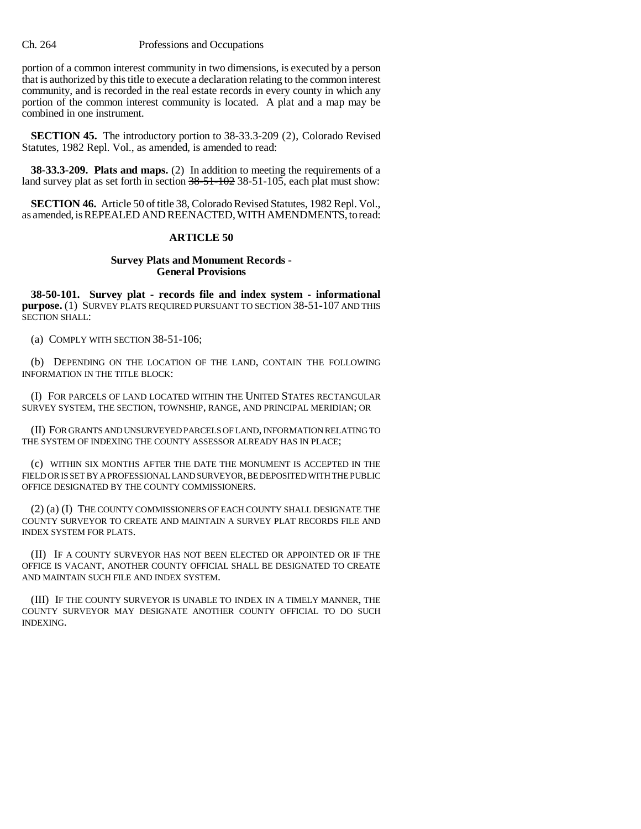portion of a common interest community in two dimensions, is executed by a person that is authorized by this title to execute a declaration relating to the common interest community, and is recorded in the real estate records in every county in which any portion of the common interest community is located. A plat and a map may be combined in one instrument.

**SECTION 45.** The introductory portion to 38-33.3-209 (2), Colorado Revised Statutes, 1982 Repl. Vol., as amended, is amended to read:

**38-33.3-209. Plats and maps.** (2) In addition to meeting the requirements of a land survey plat as set forth in section 38-51-102 38-51-105, each plat must show:

**SECTION 46.** Article 50 of title 38, Colorado Revised Statutes, 1982 Repl. Vol., as amended, is REPEALED AND REENACTED, WITH AMENDMENTS, to read:

## **ARTICLE 50**

## **Survey Plats and Monument Records - General Provisions**

**38-50-101. Survey plat - records file and index system - informational purpose.** (1) SURVEY PLATS REQUIRED PURSUANT TO SECTION 38-51-107 AND THIS SECTION SHALL:

(a) COMPLY WITH SECTION 38-51-106;

(b) DEPENDING ON THE LOCATION OF THE LAND, CONTAIN THE FOLLOWING INFORMATION IN THE TITLE BLOCK:

(I) FOR PARCELS OF LAND LOCATED WITHIN THE UNITED STATES RECTANGULAR SURVEY SYSTEM, THE SECTION, TOWNSHIP, RANGE, AND PRINCIPAL MERIDIAN; OR

(II) FOR GRANTS AND UNSURVEYED PARCELS OF LAND, INFORMATION RELATING TO THE SYSTEM OF INDEXING THE COUNTY ASSESSOR ALREADY HAS IN PLACE;

(c) WITHIN SIX MONTHS AFTER THE DATE THE MONUMENT IS ACCEPTED IN THE FIELD OR IS SET BY A PROFESSIONAL LAND SURVEYOR, BE DEPOSITED WITH THE PUBLIC OFFICE DESIGNATED BY THE COUNTY COMMISSIONERS.

(2) (a) (I) THE COUNTY COMMISSIONERS OF EACH COUNTY SHALL DESIGNATE THE COUNTY SURVEYOR TO CREATE AND MAINTAIN A SURVEY PLAT RECORDS FILE AND INDEX SYSTEM FOR PLATS.

(II) IF A COUNTY SURVEYOR HAS NOT BEEN ELECTED OR APPOINTED OR IF THE OFFICE IS VACANT, ANOTHER COUNTY OFFICIAL SHALL BE DESIGNATED TO CREATE AND MAINTAIN SUCH FILE AND INDEX SYSTEM.

(III) IF THE COUNTY SURVEYOR IS UNABLE TO INDEX IN A TIMELY MANNER, THE COUNTY SURVEYOR MAY DESIGNATE ANOTHER COUNTY OFFICIAL TO DO SUCH INDEXING.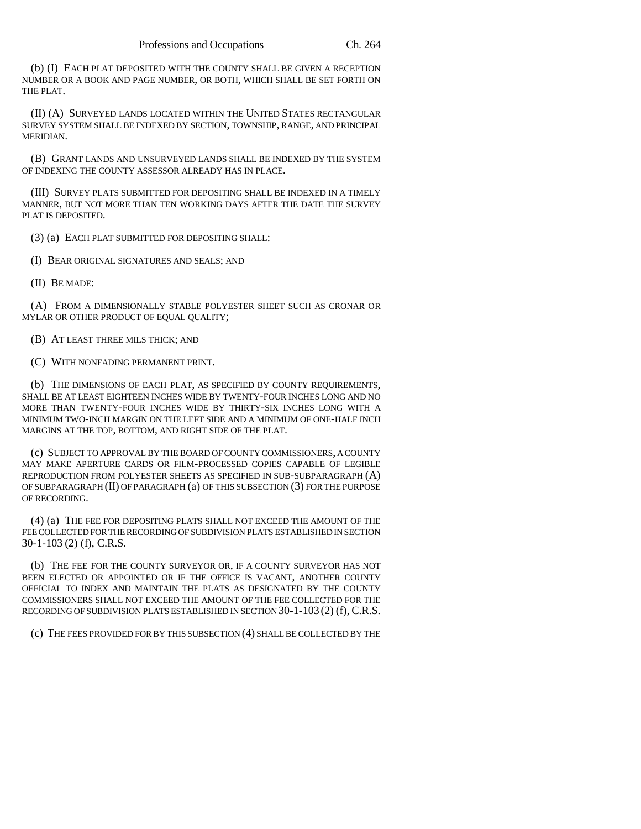(b) (I) EACH PLAT DEPOSITED WITH THE COUNTY SHALL BE GIVEN A RECEPTION NUMBER OR A BOOK AND PAGE NUMBER, OR BOTH, WHICH SHALL BE SET FORTH ON THE PLAT.

(II) (A) SURVEYED LANDS LOCATED WITHIN THE UNITED STATES RECTANGULAR SURVEY SYSTEM SHALL BE INDEXED BY SECTION, TOWNSHIP, RANGE, AND PRINCIPAL MERIDIAN.

(B) GRANT LANDS AND UNSURVEYED LANDS SHALL BE INDEXED BY THE SYSTEM OF INDEXING THE COUNTY ASSESSOR ALREADY HAS IN PLACE.

(III) SURVEY PLATS SUBMITTED FOR DEPOSITING SHALL BE INDEXED IN A TIMELY MANNER, BUT NOT MORE THAN TEN WORKING DAYS AFTER THE DATE THE SURVEY PLAT IS DEPOSITED.

(3) (a) EACH PLAT SUBMITTED FOR DEPOSITING SHALL:

(I) BEAR ORIGINAL SIGNATURES AND SEALS; AND

(II) BE MADE:

(A) FROM A DIMENSIONALLY STABLE POLYESTER SHEET SUCH AS CRONAR OR MYLAR OR OTHER PRODUCT OF EQUAL QUALITY;

(B) AT LEAST THREE MILS THICK; AND

(C) WITH NONFADING PERMANENT PRINT.

(b) THE DIMENSIONS OF EACH PLAT, AS SPECIFIED BY COUNTY REQUIREMENTS, SHALL BE AT LEAST EIGHTEEN INCHES WIDE BY TWENTY-FOUR INCHES LONG AND NO MORE THAN TWENTY-FOUR INCHES WIDE BY THIRTY-SIX INCHES LONG WITH A MINIMUM TWO-INCH MARGIN ON THE LEFT SIDE AND A MINIMUM OF ONE-HALF INCH MARGINS AT THE TOP, BOTTOM, AND RIGHT SIDE OF THE PLAT.

(c) SUBJECT TO APPROVAL BY THE BOARD OF COUNTY COMMISSIONERS, A COUNTY MAY MAKE APERTURE CARDS OR FILM-PROCESSED COPIES CAPABLE OF LEGIBLE REPRODUCTION FROM POLYESTER SHEETS AS SPECIFIED IN SUB-SUBPARAGRAPH (A) OF SUBPARAGRAPH (II) OF PARAGRAPH (a) OF THIS SUBSECTION (3) FOR THE PURPOSE OF RECORDING.

(4) (a) THE FEE FOR DEPOSITING PLATS SHALL NOT EXCEED THE AMOUNT OF THE FEE COLLECTED FOR THE RECORDING OF SUBDIVISION PLATS ESTABLISHED IN SECTION 30-1-103 (2) (f), C.R.S.

(b) THE FEE FOR THE COUNTY SURVEYOR OR, IF A COUNTY SURVEYOR HAS NOT BEEN ELECTED OR APPOINTED OR IF THE OFFICE IS VACANT, ANOTHER COUNTY OFFICIAL TO INDEX AND MAINTAIN THE PLATS AS DESIGNATED BY THE COUNTY COMMISSIONERS SHALL NOT EXCEED THE AMOUNT OF THE FEE COLLECTED FOR THE RECORDING OF SUBDIVISION PLATS ESTABLISHED IN SECTION 30-1-103 (2) (f), C.R.S.

(c) THE FEES PROVIDED FOR BY THIS SUBSECTION (4) SHALL BE COLLECTED BY THE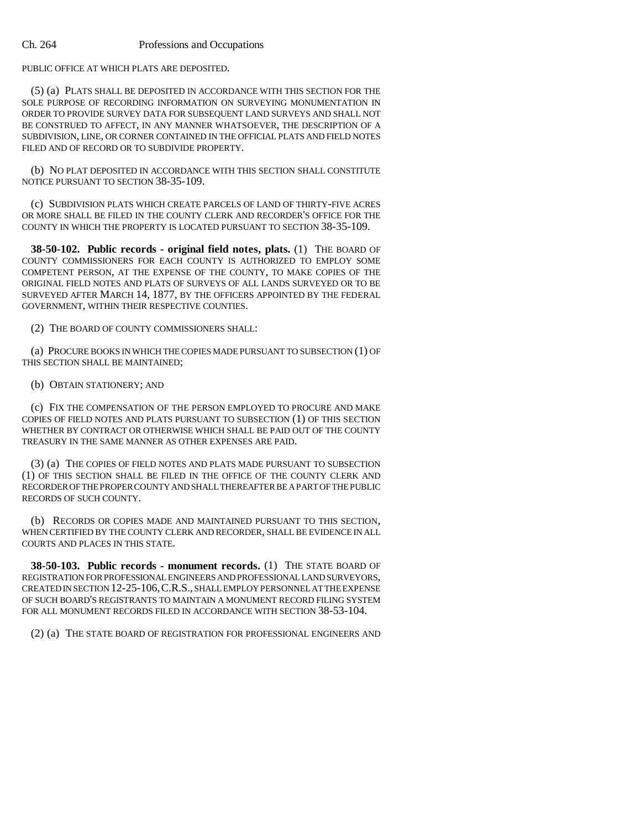PUBLIC OFFICE AT WHICH PLATS ARE DEPOSITED.

(5) (a) PLATS SHALL BE DEPOSITED IN ACCORDANCE WITH THIS SECTION FOR THE SOLE PURPOSE OF RECORDING INFORMATION ON SURVEYING MONUMENTATION IN ORDER TO PROVIDE SURVEY DATA FOR SUBSEQUENT LAND SURVEYS AND SHALL NOT BE CONSTRUED TO AFFECT, IN ANY MANNER WHATSOEVER, THE DESCRIPTION OF A SUBDIVISION, LINE, OR CORNER CONTAINED IN THE OFFICIAL PLATS AND FIELD NOTES FILED AND OF RECORD OR TO SUBDIVIDE PROPERTY

(b) NO PLAT DEPOSITED IN ACCORDANCE WITH THIS SECTION SHALL CONSTITUTE NOTICE PURSUANT TO SECTION 38-35-109.

(c) SUBDIVISION PLATS WHICH CREATE PARCELS OF LAND OF THIRTY-FIVE ACRES OR MORE SHALL BE FILED IN THE COUNTY CLERK AND RECORDER'S OFFICE FOR THE COUNTY IN WHICH THE PROPERTY IS LOCATED PURSUANT TO SECTION 38-35-109.

**38-50-102. Public records - original field notes, plats.** (1) THE BOARD OF COUNTY COMMISSIONERS FOR EACH COUNTY IS AUTHORIZED TO EMPLOY SOME COMPETENT PERSON, AT THE EXPENSE OF THE COUNTY, TO MAKE COPIES OF THE ORIGINAL FIELD NOTES AND PLATS OF SURVEYS OF ALL LANDS SURVEYED OR TO BE SURVEYED AFTER MARCH 14, 1877, BY THE OFFICERS APPOINTED BY THE FEDERAL GOVERNMENT, WITHIN THEIR RESPECTIVE COUNTIES.

(2) THE BOARD OF COUNTY COMMISSIONERS SHALL:

(a) PROCURE BOOKS IN WHICH THE COPIES MADE PURSUANT TO SUBSECTION (1) OF THIS SECTION SHALL BE MAINTAINED;

(b) OBTAIN STATIONERY; AND

(c) FIX THE COMPENSATION OF THE PERSON EMPLOYED TO PROCURE AND MAKE COPIES OF FIELD NOTES AND PLATS PURSUANT TO SUBSECTION (1) OF THIS SECTION WHETHER BY CONTRACT OR OTHERWISE WHICH SHALL BE PAID OUT OF THE COUNTY TREASURY IN THE SAME MANNER AS OTHER EXPENSES ARE PAID.

(3) (a) THE COPIES OF FIELD NOTES AND PLATS MADE PURSUANT TO SUBSECTION (1) OF THIS SECTION SHALL BE FILED IN THE OFFICE OF THE COUNTY CLERK AND RECORDER OF THE PROPER COUNTY AND SHALL THEREAFTER BE A PART OF THE PUBLIC RECORDS OF SUCH COUNTY.

(b) RECORDS OR COPIES MADE AND MAINTAINED PURSUANT TO THIS SECTION, WHEN CERTIFIED BY THE COUNTY CLERK AND RECORDER, SHALL BE EVIDENCE IN ALL COURTS AND PLACES IN THIS STATE.

**38-50-103. Public records - monument records.** (1) THE STATE BOARD OF REGISTRATION FOR PROFESSIONAL ENGINEERS AND PROFESSIONAL LAND SURVEYORS, CREATED IN SECTION 12-25-106,C.R.S., SHALL EMPLOY PERSONNEL AT THE EXPENSE OF SUCH BOARD'S REGISTRANTS TO MAINTAIN A MONUMENT RECORD FILING SYSTEM FOR ALL MONUMENT RECORDS FILED IN ACCORDANCE WITH SECTION 38-53-104.

(2) (a) THE STATE BOARD OF REGISTRATION FOR PROFESSIONAL ENGINEERS AND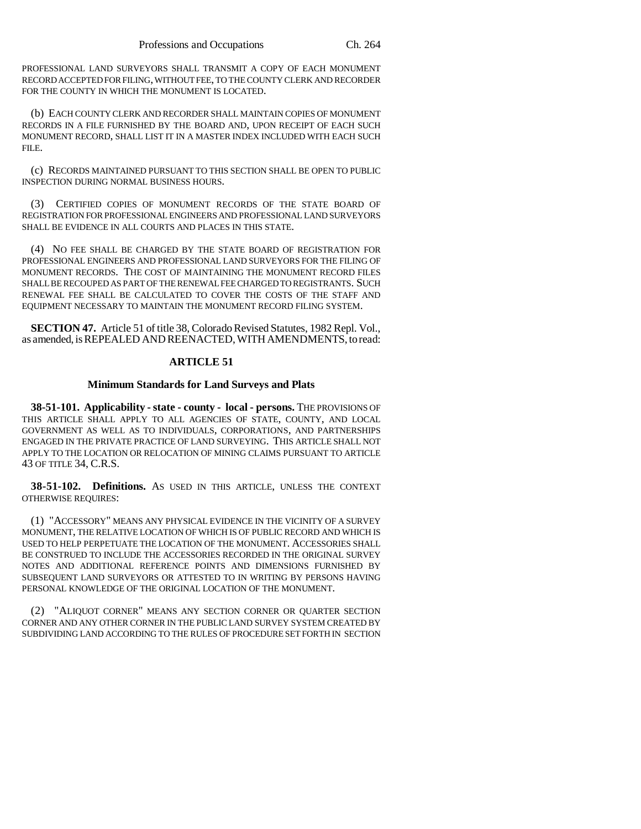PROFESSIONAL LAND SURVEYORS SHALL TRANSMIT A COPY OF EACH MONUMENT RECORD ACCEPTED FOR FILING, WITHOUT FEE, TO THE COUNTY CLERK AND RECORDER FOR THE COUNTY IN WHICH THE MONUMENT IS LOCATED.

(b) EACH COUNTY CLERK AND RECORDER SHALL MAINTAIN COPIES OF MONUMENT RECORDS IN A FILE FURNISHED BY THE BOARD AND, UPON RECEIPT OF EACH SUCH MONUMENT RECORD, SHALL LIST IT IN A MASTER INDEX INCLUDED WITH EACH SUCH FILE.

(c) RECORDS MAINTAINED PURSUANT TO THIS SECTION SHALL BE OPEN TO PUBLIC INSPECTION DURING NORMAL BUSINESS HOURS.

(3) CERTIFIED COPIES OF MONUMENT RECORDS OF THE STATE BOARD OF REGISTRATION FOR PROFESSIONAL ENGINEERS AND PROFESSIONAL LAND SURVEYORS SHALL BE EVIDENCE IN ALL COURTS AND PLACES IN THIS STATE.

(4) NO FEE SHALL BE CHARGED BY THE STATE BOARD OF REGISTRATION FOR PROFESSIONAL ENGINEERS AND PROFESSIONAL LAND SURVEYORS FOR THE FILING OF MONUMENT RECORDS. THE COST OF MAINTAINING THE MONUMENT RECORD FILES SHALL BE RECOUPED AS PART OF THE RENEWAL FEE CHARGED TO REGISTRANTS. SUCH RENEWAL FEE SHALL BE CALCULATED TO COVER THE COSTS OF THE STAFF AND EQUIPMENT NECESSARY TO MAINTAIN THE MONUMENT RECORD FILING SYSTEM.

**SECTION 47.** Article 51 of title 38, Colorado Revised Statutes, 1982 Repl. Vol., as amended, is REPEALED AND REENACTED, WITH AMENDMENTS, to read:

# **ARTICLE 51**

## **Minimum Standards for Land Surveys and Plats**

**38-51-101. Applicability - state - county - local - persons.** THE PROVISIONS OF THIS ARTICLE SHALL APPLY TO ALL AGENCIES OF STATE, COUNTY, AND LOCAL GOVERNMENT AS WELL AS TO INDIVIDUALS, CORPORATIONS, AND PARTNERSHIPS ENGAGED IN THE PRIVATE PRACTICE OF LAND SURVEYING. THIS ARTICLE SHALL NOT APPLY TO THE LOCATION OR RELOCATION OF MINING CLAIMS PURSUANT TO ARTICLE 43 OF TITLE 34, C.R.S.

**38-51-102. Definitions.** AS USED IN THIS ARTICLE, UNLESS THE CONTEXT OTHERWISE REQUIRES:

(1) "ACCESSORY" MEANS ANY PHYSICAL EVIDENCE IN THE VICINITY OF A SURVEY MONUMENT, THE RELATIVE LOCATION OF WHICH IS OF PUBLIC RECORD AND WHICH IS USED TO HELP PERPETUATE THE LOCATION OF THE MONUMENT. ACCESSORIES SHALL BE CONSTRUED TO INCLUDE THE ACCESSORIES RECORDED IN THE ORIGINAL SURVEY NOTES AND ADDITIONAL REFERENCE POINTS AND DIMENSIONS FURNISHED BY SUBSEQUENT LAND SURVEYORS OR ATTESTED TO IN WRITING BY PERSONS HAVING PERSONAL KNOWLEDGE OF THE ORIGINAL LOCATION OF THE MONUMENT.

(2) "ALIQUOT CORNER" MEANS ANY SECTION CORNER OR QUARTER SECTION CORNER AND ANY OTHER CORNER IN THE PUBLIC LAND SURVEY SYSTEM CREATED BY SUBDIVIDING LAND ACCORDING TO THE RULES OF PROCEDURE SET FORTH IN SECTION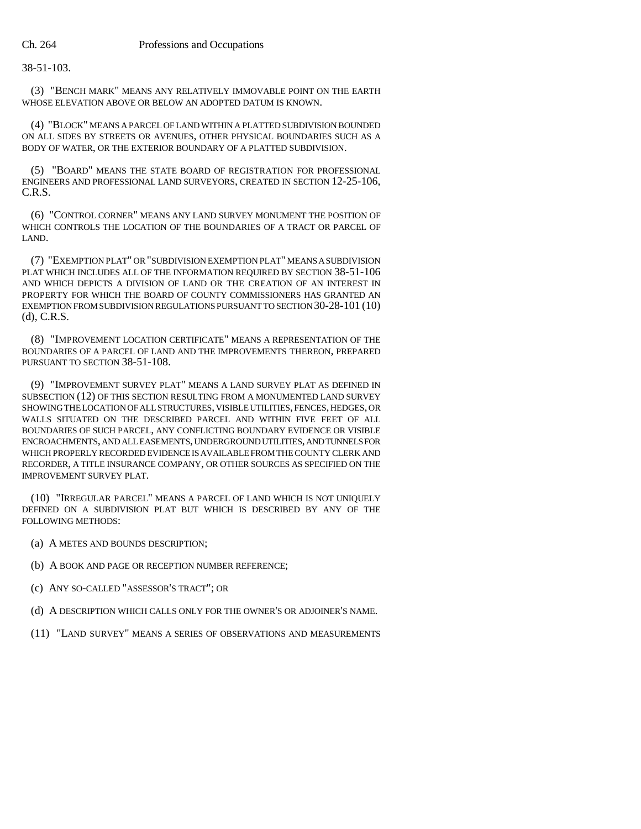38-51-103.

(3) "BENCH MARK" MEANS ANY RELATIVELY IMMOVABLE POINT ON THE EARTH WHOSE ELEVATION ABOVE OR BELOW AN ADOPTED DATUM IS KNOWN.

(4) "BLOCK" MEANS A PARCEL OF LAND WITHIN A PLATTED SUBDIVISION BOUNDED ON ALL SIDES BY STREETS OR AVENUES, OTHER PHYSICAL BOUNDARIES SUCH AS A BODY OF WATER, OR THE EXTERIOR BOUNDARY OF A PLATTED SUBDIVISION.

(5) "BOARD" MEANS THE STATE BOARD OF REGISTRATION FOR PROFESSIONAL ENGINEERS AND PROFESSIONAL LAND SURVEYORS, CREATED IN SECTION 12-25-106, C.R.S.

(6) "CONTROL CORNER" MEANS ANY LAND SURVEY MONUMENT THE POSITION OF WHICH CONTROLS THE LOCATION OF THE BOUNDARIES OF A TRACT OR PARCEL OF LAND.

(7) "EXEMPTION PLAT" OR "SUBDIVISION EXEMPTION PLAT" MEANS A SUBDIVISION PLAT WHICH INCLUDES ALL OF THE INFORMATION REQUIRED BY SECTION 38-51-106 AND WHICH DEPICTS A DIVISION OF LAND OR THE CREATION OF AN INTEREST IN PROPERTY FOR WHICH THE BOARD OF COUNTY COMMISSIONERS HAS GRANTED AN EXEMPTION FROM SUBDIVISION REGULATIONS PURSUANT TO SECTION 30-28-101 (10) (d), C.R.S.

(8) "IMPROVEMENT LOCATION CERTIFICATE" MEANS A REPRESENTATION OF THE BOUNDARIES OF A PARCEL OF LAND AND THE IMPROVEMENTS THEREON, PREPARED PURSUANT TO SECTION 38-51-108.

(9) "IMPROVEMENT SURVEY PLAT" MEANS A LAND SURVEY PLAT AS DEFINED IN SUBSECTION (12) OF THIS SECTION RESULTING FROM A MONUMENTED LAND SURVEY SHOWING THE LOCATION OF ALL STRUCTURES, VISIBLE UTILITIES, FENCES, HEDGES, OR WALLS SITUATED ON THE DESCRIBED PARCEL AND WITHIN FIVE FEET OF ALL BOUNDARIES OF SUCH PARCEL, ANY CONFLICTING BOUNDARY EVIDENCE OR VISIBLE ENCROACHMENTS, AND ALL EASEMENTS, UNDERGROUND UTILITIES, AND TUNNELS FOR WHICH PROPERLY RECORDED EVIDENCE IS AVAILABLE FROM THE COUNTY CLERK AND RECORDER, A TITLE INSURANCE COMPANY, OR OTHER SOURCES AS SPECIFIED ON THE IMPROVEMENT SURVEY PLAT.

(10) "IRREGULAR PARCEL" MEANS A PARCEL OF LAND WHICH IS NOT UNIQUELY DEFINED ON A SUBDIVISION PLAT BUT WHICH IS DESCRIBED BY ANY OF THE FOLLOWING METHODS:

- (a) A METES AND BOUNDS DESCRIPTION;
- (b) A BOOK AND PAGE OR RECEPTION NUMBER REFERENCE;
- (c) ANY SO-CALLED "ASSESSOR'S TRACT"; OR
- (d) A DESCRIPTION WHICH CALLS ONLY FOR THE OWNER'S OR ADJOINER'S NAME.
- (11) "LAND SURVEY" MEANS A SERIES OF OBSERVATIONS AND MEASUREMENTS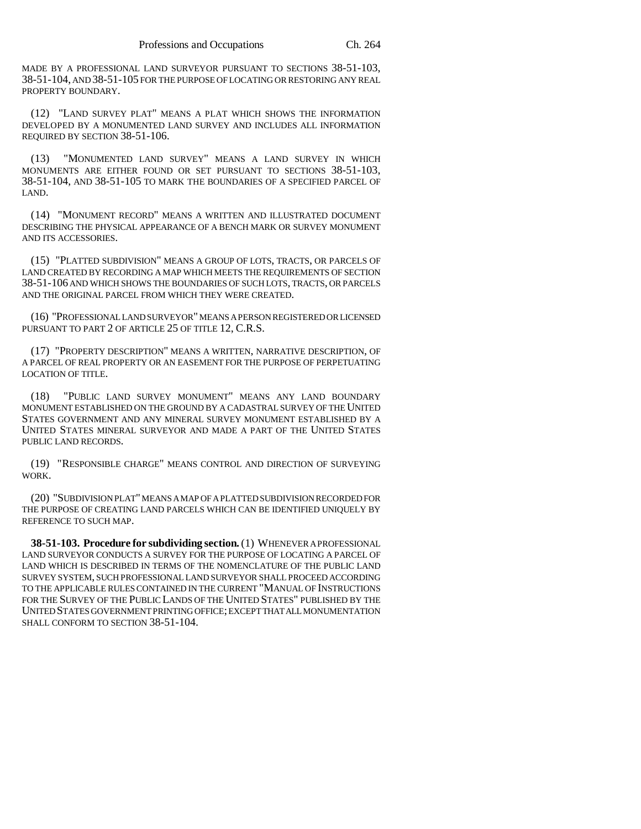MADE BY A PROFESSIONAL LAND SURVEYOR PURSUANT TO SECTIONS 38-51-103, 38-51-104, AND 38-51-105 FOR THE PURPOSE OF LOCATING OR RESTORING ANY REAL PROPERTY BOUNDARY.

(12) "LAND SURVEY PLAT" MEANS A PLAT WHICH SHOWS THE INFORMATION DEVELOPED BY A MONUMENTED LAND SURVEY AND INCLUDES ALL INFORMATION REQUIRED BY SECTION 38-51-106.

(13) "MONUMENTED LAND SURVEY" MEANS A LAND SURVEY IN WHICH MONUMENTS ARE EITHER FOUND OR SET PURSUANT TO SECTIONS 38-51-103, 38-51-104, AND 38-51-105 TO MARK THE BOUNDARIES OF A SPECIFIED PARCEL OF LAND.

(14) "MONUMENT RECORD" MEANS A WRITTEN AND ILLUSTRATED DOCUMENT DESCRIBING THE PHYSICAL APPEARANCE OF A BENCH MARK OR SURVEY MONUMENT AND ITS ACCESSORIES.

(15) "PLATTED SUBDIVISION" MEANS A GROUP OF LOTS, TRACTS, OR PARCELS OF LAND CREATED BY RECORDING A MAP WHICH MEETS THE REQUIREMENTS OF SECTION 38-51-106 AND WHICH SHOWS THE BOUNDARIES OF SUCH LOTS, TRACTS, OR PARCELS AND THE ORIGINAL PARCEL FROM WHICH THEY WERE CREATED.

(16) "PROFESSIONAL LAND SURVEYOR" MEANS A PERSON REGISTERED OR LICENSED PURSUANT TO PART 2 OF ARTICLE 25 OF TITLE 12, C.R.S.

(17) "PROPERTY DESCRIPTION" MEANS A WRITTEN, NARRATIVE DESCRIPTION, OF A PARCEL OF REAL PROPERTY OR AN EASEMENT FOR THE PURPOSE OF PERPETUATING LOCATION OF TITLE.

(18) "PUBLIC LAND SURVEY MONUMENT" MEANS ANY LAND BOUNDARY MONUMENT ESTABLISHED ON THE GROUND BY A CADASTRAL SURVEY OF THE UNITED STATES GOVERNMENT AND ANY MINERAL SURVEY MONUMENT ESTABLISHED BY A UNITED STATES MINERAL SURVEYOR AND MADE A PART OF THE UNITED STATES PUBLIC LAND RECORDS.

(19) "RESPONSIBLE CHARGE" MEANS CONTROL AND DIRECTION OF SURVEYING WORK.

(20) "SUBDIVISION PLAT" MEANS A MAP OF A PLATTED SUBDIVISION RECORDED FOR THE PURPOSE OF CREATING LAND PARCELS WHICH CAN BE IDENTIFIED UNIQUELY BY REFERENCE TO SUCH MAP.

**38-51-103. Procedure for subdividing section.** (1) WHENEVER A PROFESSIONAL LAND SURVEYOR CONDUCTS A SURVEY FOR THE PURPOSE OF LOCATING A PARCEL OF LAND WHICH IS DESCRIBED IN TERMS OF THE NOMENCLATURE OF THE PUBLIC LAND SURVEY SYSTEM, SUCH PROFESSIONAL LAND SURVEYOR SHALL PROCEED ACCORDING TO THE APPLICABLE RULES CONTAINED IN THE CURRENT "MANUAL OF INSTRUCTIONS FOR THE SURVEY OF THE PUBLIC LANDS OF THE UNITED STATES" PUBLISHED BY THE UNITED STATES GOVERNMENT PRINTING OFFICE; EXCEPT THAT ALL MONUMENTATION SHALL CONFORM TO SECTION 38-51-104.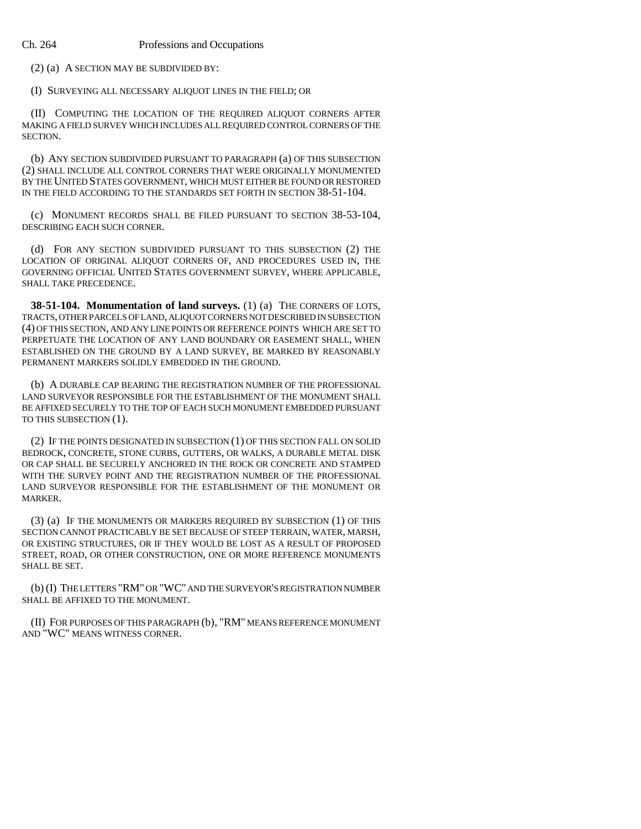(2) (a) A SECTION MAY BE SUBDIVIDED BY:

(I) SURVEYING ALL NECESSARY ALIQUOT LINES IN THE FIELD; OR

(II) COMPUTING THE LOCATION OF THE REQUIRED ALIQUOT CORNERS AFTER MAKING A FIELD SURVEY WHICH INCLUDES ALL REQUIRED CONTROL CORNERS OF THE SECTION.

(b) ANY SECTION SUBDIVIDED PURSUANT TO PARAGRAPH (a) OF THIS SUBSECTION (2) SHALL INCLUDE ALL CONTROL CORNERS THAT WERE ORIGINALLY MONUMENTED BY THE UNITED STATES GOVERNMENT, WHICH MUST EITHER BE FOUND OR RESTORED IN THE FIELD ACCORDING TO THE STANDARDS SET FORTH IN SECTION 38-51-104.

(c) MONUMENT RECORDS SHALL BE FILED PURSUANT TO SECTION 38-53-104, DESCRIBING EACH SUCH CORNER.

(d) FOR ANY SECTION SUBDIVIDED PURSUANT TO THIS SUBSECTION (2) THE LOCATION OF ORIGINAL ALIQUOT CORNERS OF, AND PROCEDURES USED IN, THE GOVERNING OFFICIAL UNITED STATES GOVERNMENT SURVEY, WHERE APPLICABLE, SHALL TAKE PRECEDENCE.

**38-51-104. Monumentation of land surveys.** (1) (a) THE CORNERS OF LOTS, TRACTS, OTHER PARCELS OF LAND, ALIQUOT CORNERS NOT DESCRIBED IN SUBSECTION (4) OF THIS SECTION, AND ANY LINE POINTS OR REFERENCE POINTS WHICH ARE SET TO PERPETUATE THE LOCATION OF ANY LAND BOUNDARY OR EASEMENT SHALL, WHEN ESTABLISHED ON THE GROUND BY A LAND SURVEY, BE MARKED BY REASONABLY PERMANENT MARKERS SOLIDLY EMBEDDED IN THE GROUND.

(b) A DURABLE CAP BEARING THE REGISTRATION NUMBER OF THE PROFESSIONAL LAND SURVEYOR RESPONSIBLE FOR THE ESTABLISHMENT OF THE MONUMENT SHALL BE AFFIXED SECURELY TO THE TOP OF EACH SUCH MONUMENT EMBEDDED PURSUANT TO THIS SUBSECTION (1).

(2) IF THE POINTS DESIGNATED IN SUBSECTION (1) OF THIS SECTION FALL ON SOLID BEDROCK, CONCRETE, STONE CURBS, GUTTERS, OR WALKS, A DURABLE METAL DISK OR CAP SHALL BE SECURELY ANCHORED IN THE ROCK OR CONCRETE AND STAMPED WITH THE SURVEY POINT AND THE REGISTRATION NUMBER OF THE PROFESSIONAL LAND SURVEYOR RESPONSIBLE FOR THE ESTABLISHMENT OF THE MONUMENT OR MARKER.

(3) (a) IF THE MONUMENTS OR MARKERS REQUIRED BY SUBSECTION (1) OF THIS SECTION CANNOT PRACTICABLY BE SET BECAUSE OF STEEP TERRAIN, WATER, MARSH, OR EXISTING STRUCTURES, OR IF THEY WOULD BE LOST AS A RESULT OF PROPOSED STREET, ROAD, OR OTHER CONSTRUCTION, ONE OR MORE REFERENCE MONUMENTS SHALL BE SET.

(b) (I) THE LETTERS "RM" OR "WC" AND THE SURVEYOR'S REGISTRATION NUMBER SHALL BE AFFIXED TO THE MONUMENT.

(II) FOR PURPOSES OF THIS PARAGRAPH (b), "RM" MEANS REFERENCE MONUMENT AND "WC" MEANS WITNESS CORNER.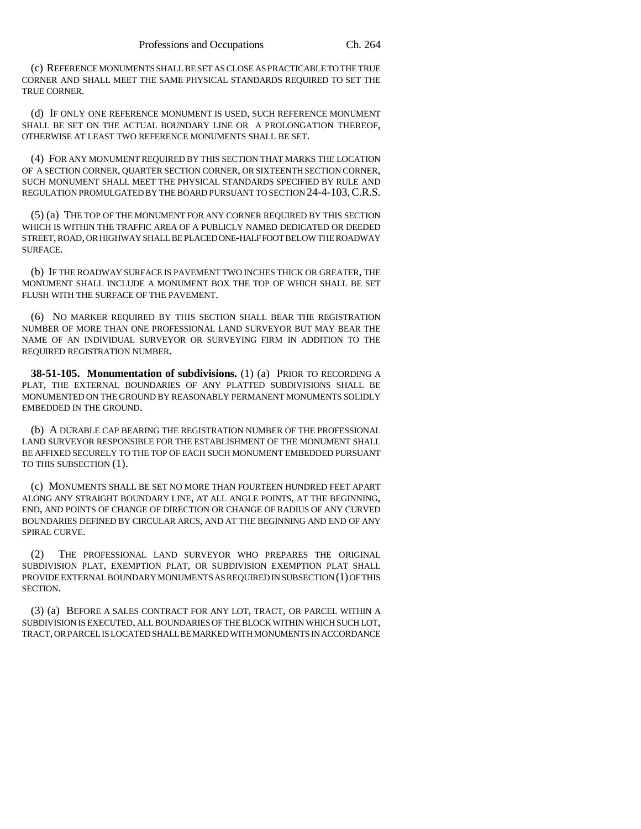(c) REFERENCE MONUMENTS SHALL BE SET AS CLOSE AS PRACTICABLE TO THE TRUE CORNER AND SHALL MEET THE SAME PHYSICAL STANDARDS REQUIRED TO SET THE TRUE CORNER.

(d) IF ONLY ONE REFERENCE MONUMENT IS USED, SUCH REFERENCE MONUMENT SHALL BE SET ON THE ACTUAL BOUNDARY LINE OR A PROLONGATION THEREOF, OTHERWISE AT LEAST TWO REFERENCE MONUMENTS SHALL BE SET.

(4) FOR ANY MONUMENT REQUIRED BY THIS SECTION THAT MARKS THE LOCATION OF A SECTION CORNER, QUARTER SECTION CORNER, OR SIXTEENTH SECTION CORNER, SUCH MONUMENT SHALL MEET THE PHYSICAL STANDARDS SPECIFIED BY RULE AND REGULATION PROMULGATED BY THE BOARD PURSUANT TO SECTION 24-4-103,C.R.S.

(5) (a) THE TOP OF THE MONUMENT FOR ANY CORNER REQUIRED BY THIS SECTION WHICH IS WITHIN THE TRAFFIC AREA OF A PUBLICLY NAMED DEDICATED OR DEEDED STREET, ROAD, OR HIGHWAY SHALL BE PLACED ONE-HALF FOOT BELOW THE ROADWAY SURFACE.

(b) IF THE ROADWAY SURFACE IS PAVEMENT TWO INCHES THICK OR GREATER, THE MONUMENT SHALL INCLUDE A MONUMENT BOX THE TOP OF WHICH SHALL BE SET FLUSH WITH THE SURFACE OF THE PAVEMENT.

(6) NO MARKER REQUIRED BY THIS SECTION SHALL BEAR THE REGISTRATION NUMBER OF MORE THAN ONE PROFESSIONAL LAND SURVEYOR BUT MAY BEAR THE NAME OF AN INDIVIDUAL SURVEYOR OR SURVEYING FIRM IN ADDITION TO THE REQUIRED REGISTRATION NUMBER.

**38-51-105. Monumentation of subdivisions.** (1) (a) PRIOR TO RECORDING A PLAT, THE EXTERNAL BOUNDARIES OF ANY PLATTED SUBDIVISIONS SHALL BE MONUMENTED ON THE GROUND BY REASONABLY PERMANENT MONUMENTS SOLIDLY EMBEDDED IN THE GROUND.

(b) A DURABLE CAP BEARING THE REGISTRATION NUMBER OF THE PROFESSIONAL LAND SURVEYOR RESPONSIBLE FOR THE ESTABLISHMENT OF THE MONUMENT SHALL BE AFFIXED SECURELY TO THE TOP OF EACH SUCH MONUMENT EMBEDDED PURSUANT TO THIS SUBSECTION (1).

(c) MONUMENTS SHALL BE SET NO MORE THAN FOURTEEN HUNDRED FEET APART ALONG ANY STRAIGHT BOUNDARY LINE, AT ALL ANGLE POINTS, AT THE BEGINNING, END, AND POINTS OF CHANGE OF DIRECTION OR CHANGE OF RADIUS OF ANY CURVED BOUNDARIES DEFINED BY CIRCULAR ARCS, AND AT THE BEGINNING AND END OF ANY SPIRAL CURVE.

(2) THE PROFESSIONAL LAND SURVEYOR WHO PREPARES THE ORIGINAL SUBDIVISION PLAT, EXEMPTION PLAT, OR SUBDIVISION EXEMPTION PLAT SHALL PROVIDE EXTERNAL BOUNDARY MONUMENTS AS REQUIRED IN SUBSECTION (1) OF THIS SECTION.

(3) (a) BEFORE A SALES CONTRACT FOR ANY LOT, TRACT, OR PARCEL WITHIN A SUBDIVISION IS EXECUTED, ALL BOUNDARIES OF THE BLOCK WITHIN WHICH SUCH LOT, TRACT, OR PARCEL IS LOCATED SHALL BE MARKED WITH MONUMENTS IN ACCORDANCE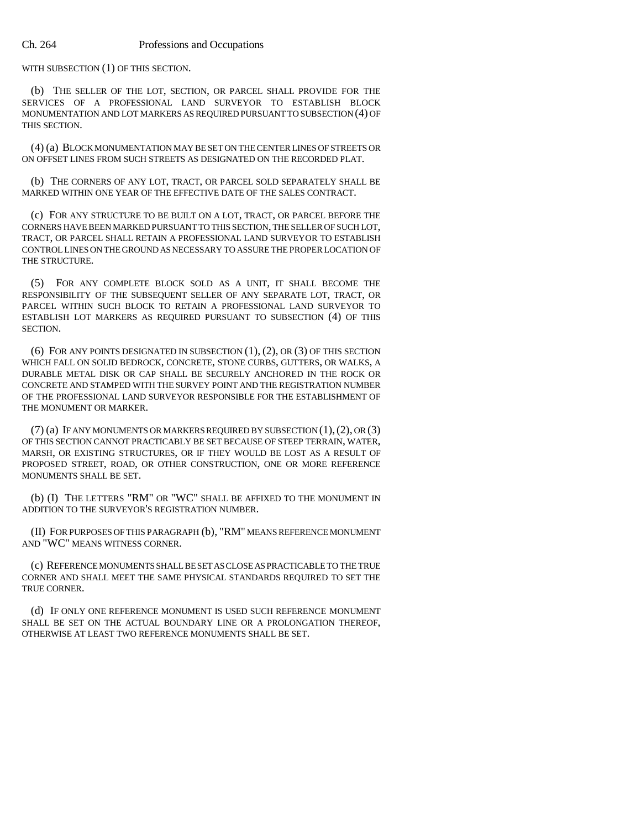WITH SUBSECTION (1) OF THIS SECTION.

(b) THE SELLER OF THE LOT, SECTION, OR PARCEL SHALL PROVIDE FOR THE SERVICES OF A PROFESSIONAL LAND SURVEYOR TO ESTABLISH BLOCK MONUMENTATION AND LOT MARKERS AS REQUIRED PURSUANT TO SUBSECTION (4) OF THIS SECTION.

(4) (a) BLOCK MONUMENTATION MAY BE SET ON THE CENTER LINES OF STREETS OR ON OFFSET LINES FROM SUCH STREETS AS DESIGNATED ON THE RECORDED PLAT.

(b) THE CORNERS OF ANY LOT, TRACT, OR PARCEL SOLD SEPARATELY SHALL BE MARKED WITHIN ONE YEAR OF THE EFFECTIVE DATE OF THE SALES CONTRACT.

(c) FOR ANY STRUCTURE TO BE BUILT ON A LOT, TRACT, OR PARCEL BEFORE THE CORNERS HAVE BEEN MARKED PURSUANT TO THIS SECTION, THE SELLER OF SUCH LOT, TRACT, OR PARCEL SHALL RETAIN A PROFESSIONAL LAND SURVEYOR TO ESTABLISH CONTROL LINES ON THE GROUND AS NECESSARY TO ASSURE THE PROPER LOCATION OF THE STRUCTURE.

(5) FOR ANY COMPLETE BLOCK SOLD AS A UNIT, IT SHALL BECOME THE RESPONSIBILITY OF THE SUBSEQUENT SELLER OF ANY SEPARATE LOT, TRACT, OR PARCEL WITHIN SUCH BLOCK TO RETAIN A PROFESSIONAL LAND SURVEYOR TO ESTABLISH LOT MARKERS AS REQUIRED PURSUANT TO SUBSECTION (4) OF THIS SECTION.

(6) FOR ANY POINTS DESIGNATED IN SUBSECTION (1), (2), OR (3) OF THIS SECTION WHICH FALL ON SOLID BEDROCK, CONCRETE, STONE CURBS, GUTTERS, OR WALKS, A DURABLE METAL DISK OR CAP SHALL BE SECURELY ANCHORED IN THE ROCK OR CONCRETE AND STAMPED WITH THE SURVEY POINT AND THE REGISTRATION NUMBER OF THE PROFESSIONAL LAND SURVEYOR RESPONSIBLE FOR THE ESTABLISHMENT OF THE MONUMENT OR MARKER.

 $(7)$  (a) IF ANY MONUMENTS OR MARKERS REQUIRED BY SUBSECTION  $(1)$ ,  $(2)$ , OR  $(3)$ OF THIS SECTION CANNOT PRACTICABLY BE SET BECAUSE OF STEEP TERRAIN, WATER, MARSH, OR EXISTING STRUCTURES, OR IF THEY WOULD BE LOST AS A RESULT OF PROPOSED STREET, ROAD, OR OTHER CONSTRUCTION, ONE OR MORE REFERENCE MONUMENTS SHALL BE SET.

(b) (I) THE LETTERS "RM" OR "WC" SHALL BE AFFIXED TO THE MONUMENT IN ADDITION TO THE SURVEYOR'S REGISTRATION NUMBER.

(II) FOR PURPOSES OF THIS PARAGRAPH (b), "RM" MEANS REFERENCE MONUMENT AND "WC" MEANS WITNESS CORNER.

(c) REFERENCE MONUMENTS SHALL BE SET AS CLOSE AS PRACTICABLE TO THE TRUE CORNER AND SHALL MEET THE SAME PHYSICAL STANDARDS REQUIRED TO SET THE TRUE CORNER.

(d) IF ONLY ONE REFERENCE MONUMENT IS USED SUCH REFERENCE MONUMENT SHALL BE SET ON THE ACTUAL BOUNDARY LINE OR A PROLONGATION THEREOF, OTHERWISE AT LEAST TWO REFERENCE MONUMENTS SHALL BE SET.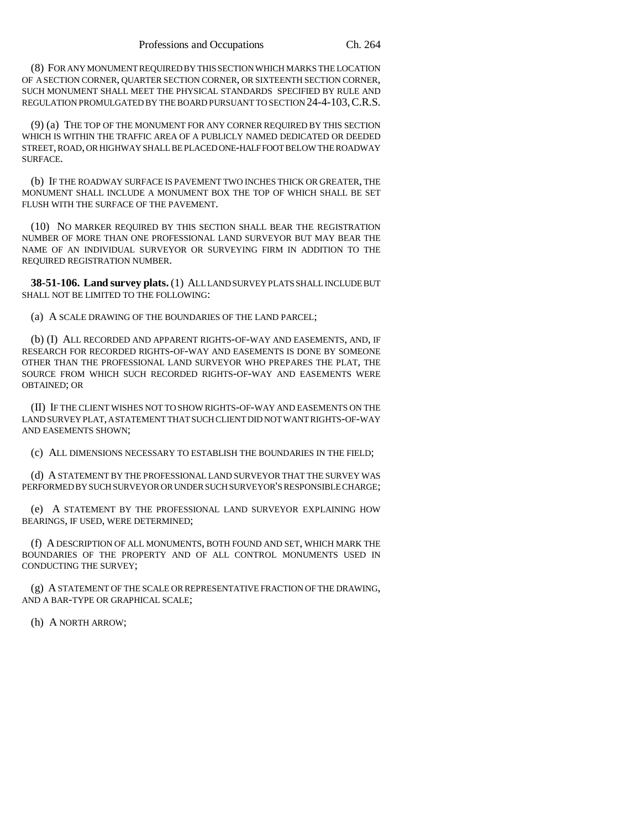(8) FOR ANY MONUMENT REQUIRED BY THIS SECTION WHICH MARKS THE LOCATION OF A SECTION CORNER, QUARTER SECTION CORNER, OR SIXTEENTH SECTION CORNER, SUCH MONUMENT SHALL MEET THE PHYSICAL STANDARDS SPECIFIED BY RULE AND REGULATION PROMULGATED BY THE BOARD PURSUANT TO SECTION 24-4-103, C.R.S.

(9) (a) THE TOP OF THE MONUMENT FOR ANY CORNER REQUIRED BY THIS SECTION WHICH IS WITHIN THE TRAFFIC AREA OF A PUBLICLY NAMED DEDICATED OR DEEDED STREET, ROAD, OR HIGHWAY SHALL BE PLACED ONE-HALF FOOT BELOW THE ROADWAY SURFACE.

(b) IF THE ROADWAY SURFACE IS PAVEMENT TWO INCHES THICK OR GREATER, THE MONUMENT SHALL INCLUDE A MONUMENT BOX THE TOP OF WHICH SHALL BE SET FLUSH WITH THE SURFACE OF THE PAVEMENT.

(10) NO MARKER REQUIRED BY THIS SECTION SHALL BEAR THE REGISTRATION NUMBER OF MORE THAN ONE PROFESSIONAL LAND SURVEYOR BUT MAY BEAR THE NAME OF AN INDIVIDUAL SURVEYOR OR SURVEYING FIRM IN ADDITION TO THE REQUIRED REGISTRATION NUMBER.

**38-51-106. Land survey plats.** (1) ALL LAND SURVEY PLATS SHALL INCLUDE BUT SHALL NOT BE LIMITED TO THE FOLLOWING:

(a) A SCALE DRAWING OF THE BOUNDARIES OF THE LAND PARCEL;

(b) (I) ALL RECORDED AND APPARENT RIGHTS-OF-WAY AND EASEMENTS, AND, IF RESEARCH FOR RECORDED RIGHTS-OF-WAY AND EASEMENTS IS DONE BY SOMEONE OTHER THAN THE PROFESSIONAL LAND SURVEYOR WHO PREPARES THE PLAT, THE SOURCE FROM WHICH SUCH RECORDED RIGHTS-OF-WAY AND EASEMENTS WERE OBTAINED; OR

(II) IF THE CLIENT WISHES NOT TO SHOW RIGHTS-OF-WAY AND EASEMENTS ON THE LAND SURVEY PLAT, A STATEMENT THAT SUCH CLIENT DID NOT WANT RIGHTS-OF-WAY AND EASEMENTS SHOWN;

(c) ALL DIMENSIONS NECESSARY TO ESTABLISH THE BOUNDARIES IN THE FIELD;

(d) A STATEMENT BY THE PROFESSIONAL LAND SURVEYOR THAT THE SURVEY WAS PERFORMED BY SUCH SURVEYOR OR UNDER SUCH SURVEYOR'S RESPONSIBLE CHARGE;

(e) A STATEMENT BY THE PROFESSIONAL LAND SURVEYOR EXPLAINING HOW BEARINGS, IF USED, WERE DETERMINED;

(f) A DESCRIPTION OF ALL MONUMENTS, BOTH FOUND AND SET, WHICH MARK THE BOUNDARIES OF THE PROPERTY AND OF ALL CONTROL MONUMENTS USED IN CONDUCTING THE SURVEY;

(g) A STATEMENT OF THE SCALE OR REPRESENTATIVE FRACTION OF THE DRAWING, AND A BAR-TYPE OR GRAPHICAL SCALE;

(h) A NORTH ARROW;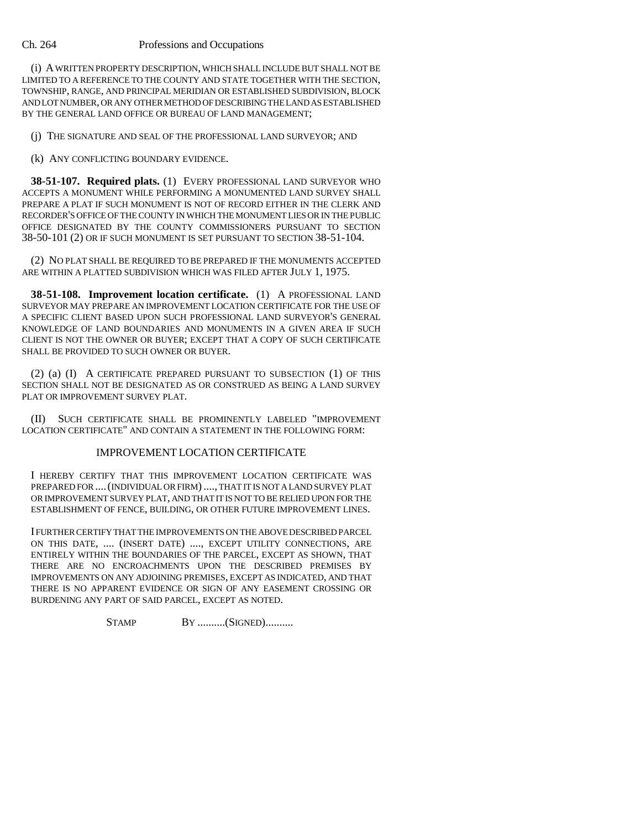(i) A WRITTEN PROPERTY DESCRIPTION, WHICH SHALL INCLUDE BUT SHALL NOT BE LIMITED TO A REFERENCE TO THE COUNTY AND STATE TOGETHER WITH THE SECTION, TOWNSHIP, RANGE, AND PRINCIPAL MERIDIAN OR ESTABLISHED SUBDIVISION, BLOCK AND LOT NUMBER, OR ANY OTHER METHOD OF DESCRIBING THE LAND AS ESTABLISHED BY THE GENERAL LAND OFFICE OR BUREAU OF LAND MANAGEMENT;

(j) THE SIGNATURE AND SEAL OF THE PROFESSIONAL LAND SURVEYOR; AND

(k) ANY CONFLICTING BOUNDARY EVIDENCE.

**38-51-107. Required plats.** (1) EVERY PROFESSIONAL LAND SURVEYOR WHO ACCEPTS A MONUMENT WHILE PERFORMING A MONUMENTED LAND SURVEY SHALL PREPARE A PLAT IF SUCH MONUMENT IS NOT OF RECORD EITHER IN THE CLERK AND RECORDER'S OFFICE OF THE COUNTY IN WHICH THE MONUMENT LIES OR IN THE PUBLIC OFFICE DESIGNATED BY THE COUNTY COMMISSIONERS PURSUANT TO SECTION 38-50-101 (2) OR IF SUCH MONUMENT IS SET PURSUANT TO SECTION 38-51-104.

(2) NO PLAT SHALL BE REQUIRED TO BE PREPARED IF THE MONUMENTS ACCEPTED ARE WITHIN A PLATTED SUBDIVISION WHICH WAS FILED AFTER JULY 1, 1975.

**38-51-108. Improvement location certificate.** (1) A PROFESSIONAL LAND SURVEYOR MAY PREPARE AN IMPROVEMENT LOCATION CERTIFICATE FOR THE USE OF A SPECIFIC CLIENT BASED UPON SUCH PROFESSIONAL LAND SURVEYOR'S GENERAL KNOWLEDGE OF LAND BOUNDARIES AND MONUMENTS IN A GIVEN AREA IF SUCH CLIENT IS NOT THE OWNER OR BUYER; EXCEPT THAT A COPY OF SUCH CERTIFICATE SHALL BE PROVIDED TO SUCH OWNER OR BUYER.

(2) (a) (I) A CERTIFICATE PREPARED PURSUANT TO SUBSECTION (1) OF THIS SECTION SHALL NOT BE DESIGNATED AS OR CONSTRUED AS BEING A LAND SURVEY PLAT OR IMPROVEMENT SURVEY PLAT.

(II) SUCH CERTIFICATE SHALL BE PROMINENTLY LABELED "IMPROVEMENT LOCATION CERTIFICATE" AND CONTAIN A STATEMENT IN THE FOLLOWING FORM:

## IMPROVEMENT LOCATION CERTIFICATE

I HEREBY CERTIFY THAT THIS IMPROVEMENT LOCATION CERTIFICATE WAS PREPARED FOR ....(INDIVIDUAL OR FIRM)...., THAT IT IS NOT A LAND SURVEY PLAT OR IMPROVEMENT SURVEY PLAT, AND THAT IT IS NOT TO BE RELIED UPON FOR THE ESTABLISHMENT OF FENCE, BUILDING, OR OTHER FUTURE IMPROVEMENT LINES.

I FURTHER CERTIFY THAT THE IMPROVEMENTS ON THE ABOVE DESCRIBED PARCEL ON THIS DATE, .... (INSERT DATE) ...., EXCEPT UTILITY CONNECTIONS, ARE ENTIRELY WITHIN THE BOUNDARIES OF THE PARCEL, EXCEPT AS SHOWN, THAT THERE ARE NO ENCROACHMENTS UPON THE DESCRIBED PREMISES BY IMPROVEMENTS ON ANY ADJOINING PREMISES, EXCEPT AS INDICATED, AND THAT THERE IS NO APPARENT EVIDENCE OR SIGN OF ANY EASEMENT CROSSING OR BURDENING ANY PART OF SAID PARCEL, EXCEPT AS NOTED.

STAMP BY ..........(SIGNED)..........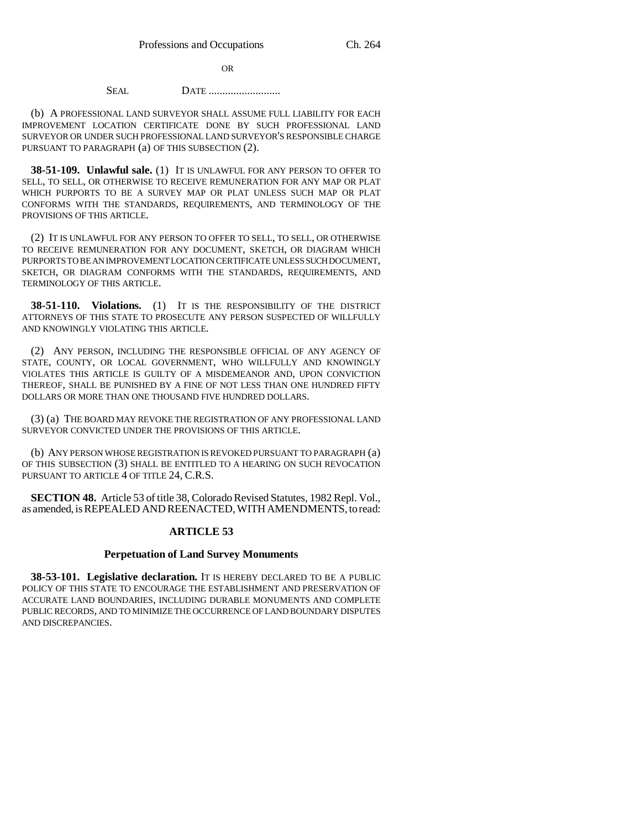OR

## **SEAL DATE .......................**

(b) A PROFESSIONAL LAND SURVEYOR SHALL ASSUME FULL LIABILITY FOR EACH IMPROVEMENT LOCATION CERTIFICATE DONE BY SUCH PROFESSIONAL LAND SURVEYOR OR UNDER SUCH PROFESSIONAL LAND SURVEYOR'S RESPONSIBLE CHARGE PURSUANT TO PARAGRAPH (a) OF THIS SUBSECTION (2).

**38-51-109. Unlawful sale.** (1) IT IS UNLAWFUL FOR ANY PERSON TO OFFER TO SELL, TO SELL, OR OTHERWISE TO RECEIVE REMUNERATION FOR ANY MAP OR PLAT WHICH PURPORTS TO BE A SURVEY MAP OR PLAT UNLESS SUCH MAP OR PLAT CONFORMS WITH THE STANDARDS, REQUIREMENTS, AND TERMINOLOGY OF THE PROVISIONS OF THIS ARTICLE.

(2) IT IS UNLAWFUL FOR ANY PERSON TO OFFER TO SELL, TO SELL, OR OTHERWISE TO RECEIVE REMUNERATION FOR ANY DOCUMENT, SKETCH, OR DIAGRAM WHICH PURPORTS TO BE AN IMPROVEMENT LOCATION CERTIFICATE UNLESS SUCH DOCUMENT, SKETCH, OR DIAGRAM CONFORMS WITH THE STANDARDS, REQUIREMENTS, AND TERMINOLOGY OF THIS ARTICLE.

**38-51-110. Violations.** (1) IT IS THE RESPONSIBILITY OF THE DISTRICT ATTORNEYS OF THIS STATE TO PROSECUTE ANY PERSON SUSPECTED OF WILLFULLY AND KNOWINGLY VIOLATING THIS ARTICLE.

(2) ANY PERSON, INCLUDING THE RESPONSIBLE OFFICIAL OF ANY AGENCY OF STATE, COUNTY, OR LOCAL GOVERNMENT, WHO WILLFULLY AND KNOWINGLY VIOLATES THIS ARTICLE IS GUILTY OF A MISDEMEANOR AND, UPON CONVICTION THEREOF, SHALL BE PUNISHED BY A FINE OF NOT LESS THAN ONE HUNDRED FIFTY DOLLARS OR MORE THAN ONE THOUSAND FIVE HUNDRED DOLLARS.

(3) (a) THE BOARD MAY REVOKE THE REGISTRATION OF ANY PROFESSIONAL LAND SURVEYOR CONVICTED UNDER THE PROVISIONS OF THIS ARTICLE.

(b) ANY PERSON WHOSE REGISTRATION IS REVOKED PURSUANT TO PARAGRAPH (a) OF THIS SUBSECTION (3) SHALL BE ENTITLED TO A HEARING ON SUCH REVOCATION PURSUANT TO ARTICLE 4 OF TITLE 24, C.R.S.

**SECTION 48.** Article 53 of title 38, Colorado Revised Statutes, 1982 Repl. Vol., as amended, is REPEALED AND REENACTED, WITH AMENDMENTS, to read:

## **ARTICLE 53**

#### **Perpetuation of Land Survey Monuments**

**38-53-101. Legislative declaration.** IT IS HEREBY DECLARED TO BE A PUBLIC POLICY OF THIS STATE TO ENCOURAGE THE ESTABLISHMENT AND PRESERVATION OF ACCURATE LAND BOUNDARIES, INCLUDING DURABLE MONUMENTS AND COMPLETE PUBLIC RECORDS, AND TO MINIMIZE THE OCCURRENCE OF LAND BOUNDARY DISPUTES AND DISCREPANCIES.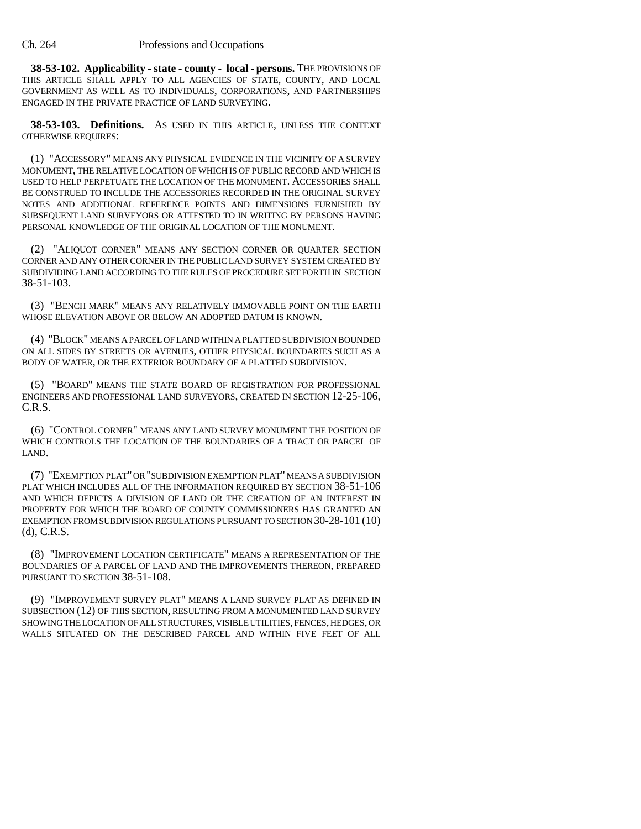**38-53-102. Applicability - state - county - local - persons.** THE PROVISIONS OF THIS ARTICLE SHALL APPLY TO ALL AGENCIES OF STATE, COUNTY, AND LOCAL GOVERNMENT AS WELL AS TO INDIVIDUALS, CORPORATIONS, AND PARTNERSHIPS ENGAGED IN THE PRIVATE PRACTICE OF LAND SURVEYING.

**38-53-103. Definitions.** AS USED IN THIS ARTICLE, UNLESS THE CONTEXT OTHERWISE REQUIRES:

(1) "ACCESSORY" MEANS ANY PHYSICAL EVIDENCE IN THE VICINITY OF A SURVEY MONUMENT, THE RELATIVE LOCATION OF WHICH IS OF PUBLIC RECORD AND WHICH IS USED TO HELP PERPETUATE THE LOCATION OF THE MONUMENT. ACCESSORIES SHALL BE CONSTRUED TO INCLUDE THE ACCESSORIES RECORDED IN THE ORIGINAL SURVEY NOTES AND ADDITIONAL REFERENCE POINTS AND DIMENSIONS FURNISHED BY SUBSEQUENT LAND SURVEYORS OR ATTESTED TO IN WRITING BY PERSONS HAVING PERSONAL KNOWLEDGE OF THE ORIGINAL LOCATION OF THE MONUMENT.

(2) "ALIQUOT CORNER" MEANS ANY SECTION CORNER OR QUARTER SECTION CORNER AND ANY OTHER CORNER IN THE PUBLIC LAND SURVEY SYSTEM CREATED BY SUBDIVIDING LAND ACCORDING TO THE RULES OF PROCEDURE SET FORTH IN SECTION 38-51-103.

(3) "BENCH MARK" MEANS ANY RELATIVELY IMMOVABLE POINT ON THE EARTH WHOSE ELEVATION ABOVE OR BELOW AN ADOPTED DATUM IS KNOWN.

(4) "BLOCK" MEANS A PARCEL OF LAND WITHIN A PLATTED SUBDIVISION BOUNDED ON ALL SIDES BY STREETS OR AVENUES, OTHER PHYSICAL BOUNDARIES SUCH AS A BODY OF WATER, OR THE EXTERIOR BOUNDARY OF A PLATTED SUBDIVISION.

(5) "BOARD" MEANS THE STATE BOARD OF REGISTRATION FOR PROFESSIONAL ENGINEERS AND PROFESSIONAL LAND SURVEYORS, CREATED IN SECTION 12-25-106, C.R.S.

(6) "CONTROL CORNER" MEANS ANY LAND SURVEY MONUMENT THE POSITION OF WHICH CONTROLS THE LOCATION OF THE BOUNDARIES OF A TRACT OR PARCEL OF LAND.

(7) "EXEMPTION PLAT" OR "SUBDIVISION EXEMPTION PLAT" MEANS A SUBDIVISION PLAT WHICH INCLUDES ALL OF THE INFORMATION REQUIRED BY SECTION 38-51-106 AND WHICH DEPICTS A DIVISION OF LAND OR THE CREATION OF AN INTEREST IN PROPERTY FOR WHICH THE BOARD OF COUNTY COMMISSIONERS HAS GRANTED AN EXEMPTION FROM SUBDIVISION REGULATIONS PURSUANT TO SECTION 30-28-101 (10) (d), C.R.S.

(8) "IMPROVEMENT LOCATION CERTIFICATE" MEANS A REPRESENTATION OF THE BOUNDARIES OF A PARCEL OF LAND AND THE IMPROVEMENTS THEREON, PREPARED PURSUANT TO SECTION 38-51-108.

(9) "IMPROVEMENT SURVEY PLAT" MEANS A LAND SURVEY PLAT AS DEFINED IN SUBSECTION (12) OF THIS SECTION, RESULTING FROM A MONUMENTED LAND SURVEY SHOWING THE LOCATION OF ALL STRUCTURES, VISIBLE UTILITIES, FENCES, HEDGES, OR WALLS SITUATED ON THE DESCRIBED PARCEL AND WITHIN FIVE FEET OF ALL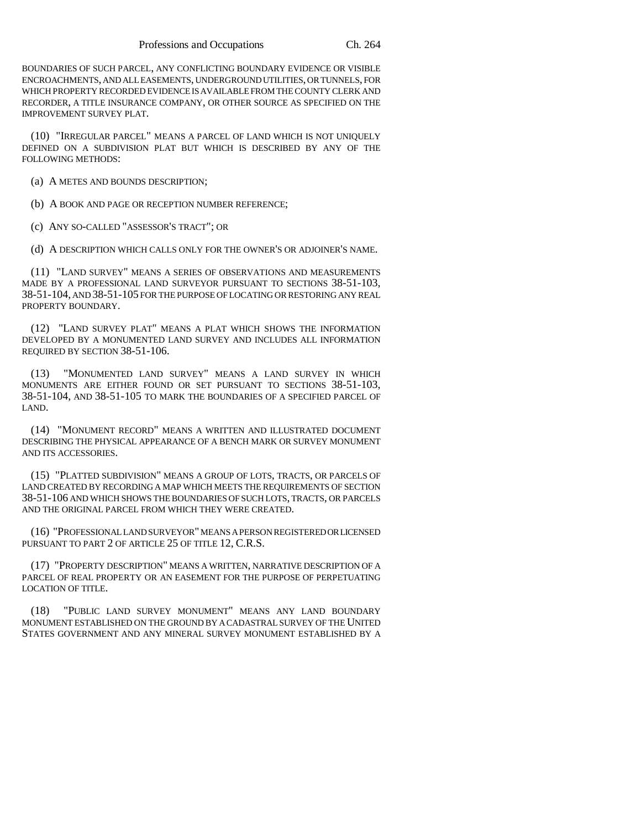BOUNDARIES OF SUCH PARCEL, ANY CONFLICTING BOUNDARY EVIDENCE OR VISIBLE ENCROACHMENTS, AND ALL EASEMENTS, UNDERGROUND UTILITIES, OR TUNNELS, FOR WHICH PROPERTY RECORDED EVIDENCE IS AVAILABLE FROM THE COUNTY CLERK AND RECORDER, A TITLE INSURANCE COMPANY, OR OTHER SOURCE AS SPECIFIED ON THE IMPROVEMENT SURVEY PLAT.

(10) "IRREGULAR PARCEL" MEANS A PARCEL OF LAND WHICH IS NOT UNIQUELY DEFINED ON A SUBDIVISION PLAT BUT WHICH IS DESCRIBED BY ANY OF THE FOLLOWING METHODS:

(a) A METES AND BOUNDS DESCRIPTION;

(b) A BOOK AND PAGE OR RECEPTION NUMBER REFERENCE;

(c) ANY SO-CALLED "ASSESSOR'S TRACT"; OR

(d) A DESCRIPTION WHICH CALLS ONLY FOR THE OWNER'S OR ADJOINER'S NAME.

(11) "LAND SURVEY" MEANS A SERIES OF OBSERVATIONS AND MEASUREMENTS MADE BY A PROFESSIONAL LAND SURVEYOR PURSUANT TO SECTIONS 38-51-103, 38-51-104, AND 38-51-105 FOR THE PURPOSE OF LOCATING OR RESTORING ANY REAL PROPERTY BOUNDARY.

(12) "LAND SURVEY PLAT" MEANS A PLAT WHICH SHOWS THE INFORMATION DEVELOPED BY A MONUMENTED LAND SURVEY AND INCLUDES ALL INFORMATION REQUIRED BY SECTION 38-51-106.

(13) "MONUMENTED LAND SURVEY" MEANS A LAND SURVEY IN WHICH MONUMENTS ARE EITHER FOUND OR SET PURSUANT TO SECTIONS 38-51-103, 38-51-104, AND 38-51-105 TO MARK THE BOUNDARIES OF A SPECIFIED PARCEL OF LAND.

(14) "MONUMENT RECORD" MEANS A WRITTEN AND ILLUSTRATED DOCUMENT DESCRIBING THE PHYSICAL APPEARANCE OF A BENCH MARK OR SURVEY MONUMENT AND ITS ACCESSORIES.

(15) "PLATTED SUBDIVISION" MEANS A GROUP OF LOTS, TRACTS, OR PARCELS OF LAND CREATED BY RECORDING A MAP WHICH MEETS THE REQUIREMENTS OF SECTION 38-51-106 AND WHICH SHOWS THE BOUNDARIES OF SUCH LOTS, TRACTS, OR PARCELS AND THE ORIGINAL PARCEL FROM WHICH THEY WERE CREATED.

(16) "PROFESSIONAL LAND SURVEYOR" MEANS A PERSON REGISTERED OR LICENSED PURSUANT TO PART 2 OF ARTICLE 25 OF TITLE 12, C.R.S.

(17) "PROPERTY DESCRIPTION" MEANS A WRITTEN, NARRATIVE DESCRIPTION OF A PARCEL OF REAL PROPERTY OR AN EASEMENT FOR THE PURPOSE OF PERPETUATING LOCATION OF TITLE.

(18) "PUBLIC LAND SURVEY MONUMENT" MEANS ANY LAND BOUNDARY MONUMENT ESTABLISHED ON THE GROUND BY A CADASTRAL SURVEY OF THE UNITED STATES GOVERNMENT AND ANY MINERAL SURVEY MONUMENT ESTABLISHED BY A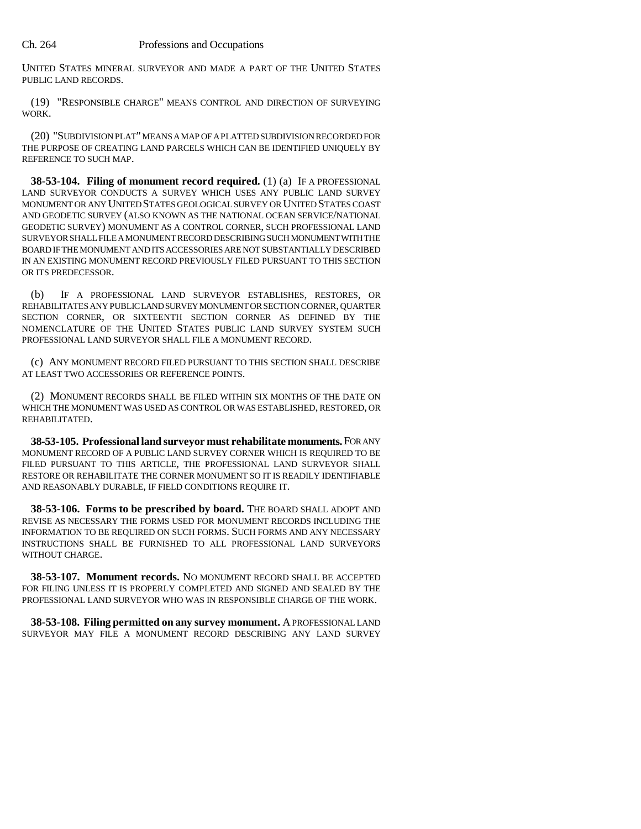UNITED STATES MINERAL SURVEYOR AND MADE A PART OF THE UNITED STATES PUBLIC LAND RECORDS.

(19) "RESPONSIBLE CHARGE" MEANS CONTROL AND DIRECTION OF SURVEYING WORK.

(20) "SUBDIVISION PLAT" MEANS A MAP OF A PLATTED SUBDIVISION RECORDED FOR THE PURPOSE OF CREATING LAND PARCELS WHICH CAN BE IDENTIFIED UNIQUELY BY REFERENCE TO SUCH MAP.

**38-53-104. Filing of monument record required.** (1) (a) IF A PROFESSIONAL LAND SURVEYOR CONDUCTS A SURVEY WHICH USES ANY PUBLIC LAND SURVEY MONUMENT OR ANY UNITED STATES GEOLOGICAL SURVEY OR UNITED STATES COAST AND GEODETIC SURVEY (ALSO KNOWN AS THE NATIONAL OCEAN SERVICE/NATIONAL GEODETIC SURVEY) MONUMENT AS A CONTROL CORNER, SUCH PROFESSIONAL LAND SURVEYOR SHALL FILE A MONUMENT RECORD DESCRIBING SUCH MONUMENT WITH THE BOARD IF THE MONUMENT AND ITS ACCESSORIES ARE NOT SUBSTANTIALLY DESCRIBED IN AN EXISTING MONUMENT RECORD PREVIOUSLY FILED PURSUANT TO THIS SECTION OR ITS PREDECESSOR.

(b) IF A PROFESSIONAL LAND SURVEYOR ESTABLISHES, RESTORES, OR REHABILITATES ANY PUBLIC LAND SURVEY MONUMENT OR SECTION CORNER, QUARTER SECTION CORNER, OR SIXTEENTH SECTION CORNER AS DEFINED BY THE NOMENCLATURE OF THE UNITED STATES PUBLIC LAND SURVEY SYSTEM SUCH PROFESSIONAL LAND SURVEYOR SHALL FILE A MONUMENT RECORD.

(c) ANY MONUMENT RECORD FILED PURSUANT TO THIS SECTION SHALL DESCRIBE AT LEAST TWO ACCESSORIES OR REFERENCE POINTS.

(2) MONUMENT RECORDS SHALL BE FILED WITHIN SIX MONTHS OF THE DATE ON WHICH THE MONUMENT WAS USED AS CONTROL OR WAS ESTABLISHED, RESTORED, OR REHABILITATED.

**38-53-105. Professional land surveyor must rehabilitate monuments.** FOR ANY MONUMENT RECORD OF A PUBLIC LAND SURVEY CORNER WHICH IS REQUIRED TO BE FILED PURSUANT TO THIS ARTICLE, THE PROFESSIONAL LAND SURVEYOR SHALL RESTORE OR REHABILITATE THE CORNER MONUMENT SO IT IS READILY IDENTIFIABLE AND REASONABLY DURABLE, IF FIELD CONDITIONS REQUIRE IT.

**38-53-106. Forms to be prescribed by board.** THE BOARD SHALL ADOPT AND REVISE AS NECESSARY THE FORMS USED FOR MONUMENT RECORDS INCLUDING THE INFORMATION TO BE REQUIRED ON SUCH FORMS. SUCH FORMS AND ANY NECESSARY INSTRUCTIONS SHALL BE FURNISHED TO ALL PROFESSIONAL LAND SURVEYORS WITHOUT CHARGE.

**38-53-107. Monument records.** NO MONUMENT RECORD SHALL BE ACCEPTED FOR FILING UNLESS IT IS PROPERLY COMPLETED AND SIGNED AND SEALED BY THE PROFESSIONAL LAND SURVEYOR WHO WAS IN RESPONSIBLE CHARGE OF THE WORK.

**38-53-108. Filing permitted on any survey monument.** A PROFESSIONAL LAND SURVEYOR MAY FILE A MONUMENT RECORD DESCRIBING ANY LAND SURVEY